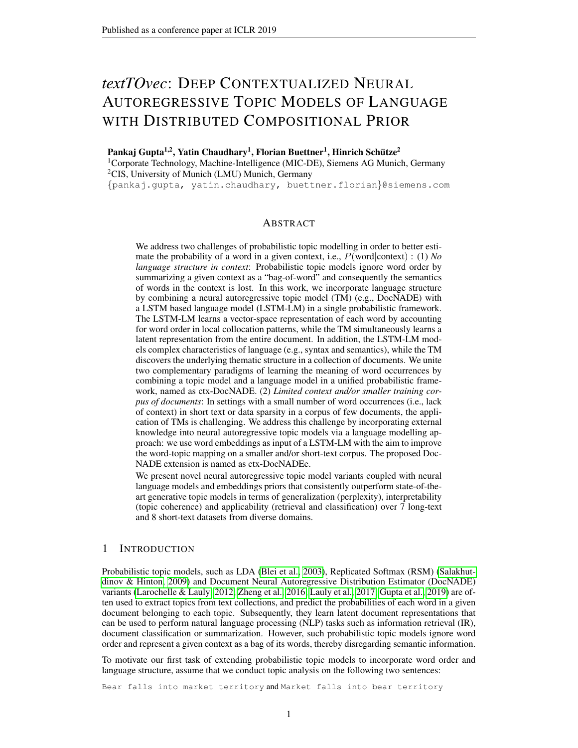# *textTOvec*: DEEP CONTEXTUALIZED NEURAL AUTOREGRESSIVE TOPIC MODELS OF LANGUAGE WITH DISTRIBUTED COMPOSITIONAL PRIOR

Pankaj Gupta $^{1,2}$ , Yatin Chaudhary<sup>1</sup>, Florian Buettner<sup>1</sup>, Hinrich Schütze<sup>2</sup> <sup>1</sup>Corporate Technology, Machine-Intelligence (MIC-DE), Siemens AG Munich, Germany <sup>2</sup>CIS, University of Munich (LMU) Munich, Germany

{pankaj.gupta, yatin.chaudhary, buettner.florian}@siemens.com

## ABSTRACT

We address two challenges of probabilistic topic modelling in order to better estimate the probability of a word in a given context, i.e., P(word|context) : (1) *No language structure in context*: Probabilistic topic models ignore word order by summarizing a given context as a "bag-of-word" and consequently the semantics of words in the context is lost. In this work, we incorporate language structure by combining a neural autoregressive topic model (TM) (e.g., DocNADE) with a LSTM based language model (LSTM-LM) in a single probabilistic framework. The LSTM-LM learns a vector-space representation of each word by accounting for word order in local collocation patterns, while the TM simultaneously learns a latent representation from the entire document. In addition, the LSTM-LM models complex characteristics of language (e.g., syntax and semantics), while the TM discovers the underlying thematic structure in a collection of documents. We unite two complementary paradigms of learning the meaning of word occurrences by combining a topic model and a language model in a unified probabilistic framework, named as ctx-DocNADE. (2) *Limited context and/or smaller training corpus of documents*: In settings with a small number of word occurrences (i.e., lack of context) in short text or data sparsity in a corpus of few documents, the application of TMs is challenging. We address this challenge by incorporating external knowledge into neural autoregressive topic models via a language modelling approach: we use word embeddings as input of a LSTM-LM with the aim to improve the word-topic mapping on a smaller and/or short-text corpus. The proposed Doc-NADE extension is named as ctx-DocNADEe.

We present novel neural autoregressive topic model variants coupled with neural language models and embeddings priors that consistently outperform state-of-theart generative topic models in terms of generalization (perplexity), interpretability (topic coherence) and applicability (retrieval and classification) over 7 long-text and 8 short-text datasets from diverse domains.

## <span id="page-0-0"></span>1 INTRODUCTION

Probabilistic topic models, such as LDA [\(Blei et al., 2003\)](#page-10-0), Replicated Softmax (RSM) [\(Salakhut](#page-12-0)[dinov & Hinton, 2009\)](#page-12-0) and Document Neural Autoregressive Distribution Estimator (DocNADE) variants [\(Larochelle & Lauly, 2012;](#page-10-1) [Zheng et al., 2016;](#page-12-1) [Lauly et al., 2017;](#page-11-0) [Gupta et al., 2019\)](#page-10-2) are often used to extract topics from text collections, and predict the probabilities of each word in a given document belonging to each topic. Subsequently, they learn latent document representations that can be used to perform natural language processing (NLP) tasks such as information retrieval (IR), document classification or summarization. However, such probabilistic topic models ignore word order and represent a given context as a bag of its words, thereby disregarding semantic information.

To motivate our first task of extending probabilistic topic models to incorporate word order and language structure, assume that we conduct topic analysis on the following two sentences:

Bear falls into market territory and Market falls into bear territory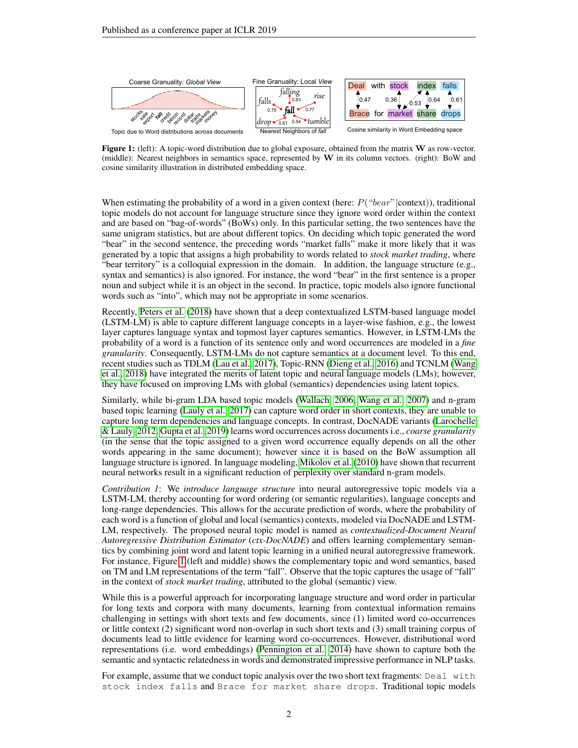<span id="page-1-0"></span>

Figure 1: (left): A topic-word distribution due to global exposure, obtained from the matrix W as row-vector. (middle): Nearest neighbors in semantics space, represented by W in its column vectors. (right): BoW and cosine similarity illustration in distributed embedding space.

When estimating the probability of a word in a given context (here:  $P("bear")$  context)), traditional topic models do not account for language structure since they ignore word order within the context and are based on "bag-of-words" (BoWs) only. In this particular setting, the two sentences have the same unigram statistics, but are about different topics. On deciding which topic generated the word "bear" in the second sentence, the preceding words "market falls" make it more likely that it was generated by a topic that assigns a high probability to words related to *stock market trading*, where "bear territory" is a colloquial expression in the domain. In addition, the language structure (e.g., syntax and semantics) is also ignored. For instance, the word "bear" in the first sentence is a proper noun and subject while it is an object in the second. In practice, topic models also ignore functional words such as "into", which may not be appropriate in some scenarios.

Recently, [Peters et al.](#page-11-1) [\(2018\)](#page-11-1) have shown that a deep contextualized LSTM-based language model (LSTM-LM) is able to capture different language concepts in a layer-wise fashion, e.g., the lowest layer captures language syntax and topmost layer captures semantics. However, in LSTM-LMs the probability of a word is a function of its sentence only and word occurrences are modeled in a *fine granularity*. Consequently, LSTM-LMs do not capture semantics at a document level. To this end, recent studies such as TDLM [\(Lau et al., 2017\)](#page-11-2), Topic-RNN [\(Dieng et al., 2016\)](#page-10-3) and TCNLM [\(Wang](#page-12-2) [et al., 2018\)](#page-12-2) have integrated the merits of latent topic and neural language models (LMs); however, they have focused on improving LMs with global (semantics) dependencies using latent topics.

Similarly, while bi-gram LDA based topic models [\(Wallach, 2006;](#page-12-3) [Wang et al., 2007\)](#page-12-4) and n-gram based topic learning [\(Lauly et al., 2017\)](#page-11-0) can capture word order in short contexts, they are unable to capture long term dependencies and language concepts. In contrast, DocNADE variants [\(Larochelle](#page-10-1) [& Lauly, 2012;](#page-10-1) [Gupta et al., 2019\)](#page-10-2) learns word occurrences across documents i.e., *coarse granularity* (in the sense that the topic assigned to a given word occurrence equally depends on all the other words appearing in the same document); however since it is based on the BoW assumption all language structure is ignored. In language modeling, [Mikolov et al.](#page-11-3) [\(2010\)](#page-11-3) have shown that recurrent neural networks result in a significant reduction of perplexity over standard n-gram models.

*Contribution 1*: We *introduce language structure* into neural autoregressive topic models via a LSTM-LM, thereby accounting for word ordering (or semantic regularities), language concepts and long-range dependencies. This allows for the accurate prediction of words, where the probability of each word is a function of global and local (semantics) contexts, modeled via DocNADE and LSTM-LM, respectively. The proposed neural topic model is named as *contextualized*-*Document Neural Autoregressive Distribution Estimator* (*ctx-DocNADE*) and offers learning complementary semantics by combining joint word and latent topic learning in a unified neural autoregressive framework. For instance, Figure [1](#page-1-0) (left and middle) shows the complementary topic and word semantics, based on TM and LM representations of the term "fall". Observe that the topic captures the usage of "fall" in the context of *stock market trading*, attributed to the global (semantic) view.

While this is a powerful approach for incorporating language structure and word order in particular for long texts and corpora with many documents, learning from contextual information remains challenging in settings with short texts and few documents, since (1) limited word co-occurrences or little context (2) significant word non-overlap in such short texts and (3) small training corpus of documents lead to little evidence for learning word co-occurrences. However, distributional word representations (i.e. word embeddings) [\(Pennington et al., 2014\)](#page-11-4) have shown to capture both the semantic and syntactic relatedness in words and demonstrated impressive performance in NLP tasks.

For example, assume that we conduct topic analysis over the two short text fragments: Deal with stock index falls and Brace for market share drops. Traditional topic models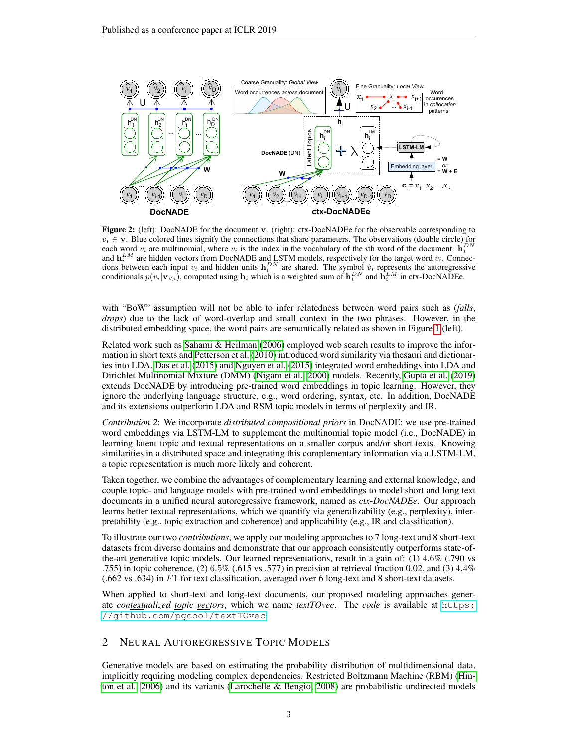

Figure 2: (left): DocNADE for the document v. (right): ctx-DocNADEe for the observable corresponding to  $v_i \in \mathbf{v}$ . Blue colored lines signify the connections that share parameters. The observations (double circle) for each word  $v_i$  are multinomial, where  $v_i$  is the index in the vocabulary of the *i*th word of the document.  $\mathbf{h}_i^{DN}$ and  $\mathbf{h}_i^{LM}$  are hidden vectors from DocNADE and LSTM models, respectively for the target word  $v_i$ . Connections between each input  $v_i$  and hidden units  $\mathbf{h}_i^{DN}$  are shared. The symbol  $\hat{v}_i$  represents the autoregressive conditionals  $p(v_i|v_{\leq i})$ , computed using  $\mathbf{h}_i$  which is a weighted sum of  $\mathbf{h}_i^{DN}$  and  $\mathbf{h}_i^{LM}$  in ctx-DocNADEe.

with "BoW" assumption will not be able to infer relatedness between word pairs such as (*falls*, *drops*) due to the lack of word-overlap and small context in the two phrases. However, in the distributed embedding space, the word pairs are semantically related as shown in Figure [1](#page-1-0) (left).

Related work such as [Sahami & Heilman](#page-12-5) [\(2006\)](#page-12-5) employed web search results to improve the information in short texts and [Petterson et al.](#page-11-5) [\(2010\)](#page-11-5) introduced word similarity via thesauri and dictionaries into LDA. [Das et al.](#page-10-4) [\(2015\)](#page-10-4) and [Nguyen et al.](#page-11-6) [\(2015\)](#page-11-6) integrated word embeddings into LDA and Dirichlet Multinomial Mixture (DMM) [\(Nigam et al., 2000\)](#page-11-7) models. Recently, [Gupta et al.](#page-10-2) [\(2019\)](#page-10-2) extends DocNADE by introducing pre-trained word embeddings in topic learning. However, they ignore the underlying language structure, e.g., word ordering, syntax, etc. In addition, DocNADE and its extensions outperform LDA and RSM topic models in terms of perplexity and IR.

*Contribution 2*: We incorporate *distributed compositional priors* in DocNADE: we use pre-trained word embeddings via LSTM-LM to supplement the multinomial topic model (i.e., DocNADE) in learning latent topic and textual representations on a smaller corpus and/or short texts. Knowing similarities in a distributed space and integrating this complementary information via a LSTM-LM, a topic representation is much more likely and coherent.

Taken together, we combine the advantages of complementary learning and external knowledge, and couple topic- and language models with pre-trained word embeddings to model short and long text documents in a unified neural autoregressive framework, named as *ctx*-*DocNADEe*. Our approach learns better textual representations, which we quantify via generalizability (e.g., perplexity), interpretability (e.g., topic extraction and coherence) and applicability (e.g., IR and classification).

To illustrate our two *contributions*, we apply our modeling approaches to 7 long-text and 8 short-text datasets from diverse domains and demonstrate that our approach consistently outperforms state-ofthe-art generative topic models. Our learned representations, result in a gain of: (1) 4.6% (.790 vs .755) in topic coherence, (2)  $6.5\%$  (.615 vs .577) in precision at retrieval fraction 0.02, and (3)  $4.4\%$  $(.662 \text{ vs. } 634)$  in F1 for text classification, averaged over 6 long-text and 8 short-text datasets.

When applied to short-text and long-text documents, our proposed modeling approaches generate *contextualized topic vectors*, which we name *textTOvec*. The *code* is available at [https:](https://github.com/pgcool/textTOvec) [//github.com/pgcool/textTOvec](https://github.com/pgcool/textTOvec).

## 2 NEURAL AUTOREGRESSIVE TOPIC MODELS

Generative models are based on estimating the probability distribution of multidimensional data, implicitly requiring modeling complex dependencies. Restricted Boltzmann Machine (RBM) [\(Hin](#page-10-5)[ton et al., 2006\)](#page-10-5) and its variants [\(Larochelle & Bengio, 2008\)](#page-10-6) are probabilistic undirected models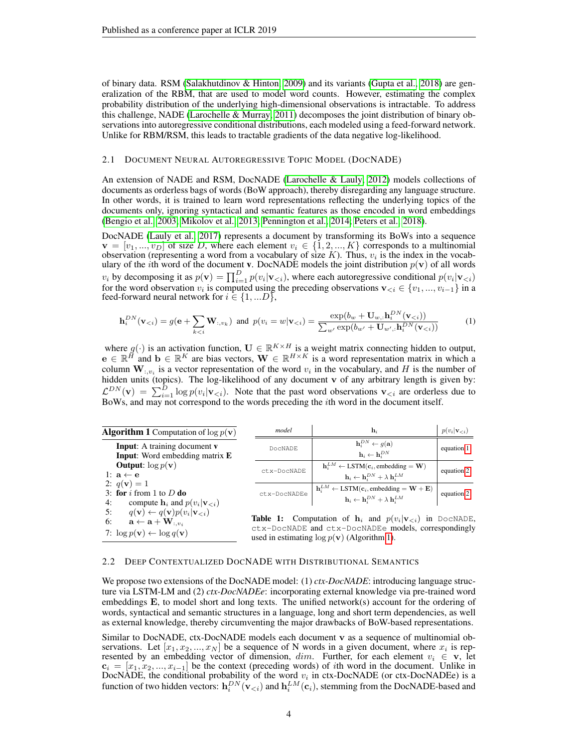of binary data. RSM [\(Salakhutdinov & Hinton, 2009\)](#page-12-0) and its variants [\(Gupta et al., 2018\)](#page-10-7) are generalization of the RBM, that are used to model word counts. However, estimating the complex probability distribution of the underlying high-dimensional observations is intractable. To address this challenge, NADE [\(Larochelle & Murray, 2011\)](#page-11-8) decomposes the joint distribution of binary observations into autoregressive conditional distributions, each modeled using a feed-forward network. Unlike for RBM/RSM, this leads to tractable gradients of the data negative log-likelihood.

#### 2.1 DOCUMENT NEURAL AUTOREGRESSIVE TOPIC MODEL (DOCNADE)

An extension of NADE and RSM, DocNADE [\(Larochelle & Lauly, 2012\)](#page-10-1) models collections of documents as orderless bags of words (BoW approach), thereby disregarding any language structure. In other words, it is trained to learn word representations reflecting the underlying topics of the documents only, ignoring syntactical and semantic features as those encoded in word embeddings [\(Bengio et al., 2003;](#page-10-8) [Mikolov et al., 2013;](#page-11-9) [Pennington et al., 2014;](#page-11-4) [Peters et al., 2018\)](#page-11-1).

DocNADE [\(Lauly et al., 2017\)](#page-11-0) represents a document by transforming its BoWs into a sequence  $\mathbf{v} = [v_1, ..., v_D]$  of size D, where each element  $v_i \in \{1, 2, ..., K\}$  corresponds to a multinomial observation (representing a word from a vocabulary of size K). Thus,  $v_i$  is the index in the vocabulary of the *i*th word of the document **v**. DocNADE models the joint distribution  $p(\mathbf{v})$  of all words  $v_i$  by decomposing it as  $p(\mathbf{v}) = \prod_{i=1}^D p(v_i | \mathbf{v}_{< i})$ , where each autoregressive conditional  $p(v_i | \mathbf{v}_{< i})$ for the word observation  $v_i$  is computed using the preceding observations  $\mathbf{v}_{< i} \in \{v_1, ..., v_{i-1}\}$  in a feed-forward neural network for  $i \in \{1, ...D\}$ ,

<span id="page-3-0"></span>
$$
\mathbf{h}_i^{DN}(\mathbf{v}_{< i}) = g(\mathbf{e} + \sum_{k < i} \mathbf{W}_{:,v_k}) \quad \text{and} \quad p(v_i = w | \mathbf{v}_{< i}) = \frac{\exp(b_w + \mathbf{U}_w, \mathbf{h}_i^{DN}(\mathbf{v}_{< i}))}{\sum_{w'} \exp(b_{w'} + \mathbf{U}_{w',:} \mathbf{h}_i^{DN}(\mathbf{v}_{< i}))} \tag{1}
$$

where  $g(\cdot)$  is an activation function,  $\mathbf{U} \in \mathbb{R}^{K \times H}$  is a weight matrix connecting hidden to output,  $e \in \mathbb{R}^H$  and  $b \in \mathbb{R}^K$  are bias vectors,  $\mathbf{W} \in \mathbb{R}^{H \times K}$  is a word representation matrix in which a column  $W_{:,v_i}$  is a vector representation of the word  $v_i$  in the vocabulary, and H is the number of hidden units (topics). The log-likelihood of any document v of any arbitrary length is given by:  $\mathcal{L}^{DN}(\mathbf{v}) = \sum_{i=1}^D \log p(v_i|\mathbf{v}_{\le i})$ . Note that the past word observations  $\mathbf{v}_{\le i}$  are orderless due to BoWs, and may not correspond to the words preceding the ith word in the document itself.

<span id="page-3-1"></span>

| <b>Algorithm 1</b> Computation of $\log p(\mathbf{v})$                                                                                                                                             | model        | $\mathbf{h}_i$                                                                                                                                                                                                                                                                                                                                                                                                                                 | $p(v_i \mathbf{v}_{\leq i})$ |
|----------------------------------------------------------------------------------------------------------------------------------------------------------------------------------------------------|--------------|------------------------------------------------------------------------------------------------------------------------------------------------------------------------------------------------------------------------------------------------------------------------------------------------------------------------------------------------------------------------------------------------------------------------------------------------|------------------------------|
| <b>Input:</b> A training document <b>v</b><br><b>Input:</b> Word embedding matrix <b>E</b>                                                                                                         | DocNADE      | $\mathbf{h}_i^{DN} \leftarrow g(\mathbf{a})$<br>$\mathbf{h}_i \leftarrow \mathbf{h}_i^{DN}$                                                                                                                                                                                                                                                                                                                                                    | equation 1                   |
| <b>Output:</b> $\log p(\mathbf{v})$<br>1: $\mathbf{a} \leftarrow \mathbf{e}$                                                                                                                       | ctx-DocNADE  | $\mathbf{h}_{i}^{LM} \leftarrow \text{LSTM}(\mathbf{c}_{i}, \text{embedding} = \mathbf{W})$<br>$\mathbf{h}_i \leftarrow \mathbf{h}_i^{DN} + \lambda \mathbf{h}_i^{LM}$                                                                                                                                                                                                                                                                         | equation 2                   |
| 2: $q(\mathbf{v}) = 1$<br>3: for $i$ from 1 to $D$ do                                                                                                                                              | ctx-DocNADEe | $\mathbf{h}^{LM}_i \leftarrow \text{LSTM}(\mathbf{c}_i, \text{embedding} = \mathbf{W} + \mathbf{E})$                                                                                                                                                                                                                                                                                                                                           | equation 2                   |
| compute $\mathbf{h}_i$ and $p(v_i \mathbf{v}_{\leq i})$<br>4:                                                                                                                                      |              | $\mathbf{h}_i \leftarrow \mathbf{h}_i^{DN} + \lambda \mathbf{h}_i^{LM}$                                                                                                                                                                                                                                                                                                                                                                        |                              |
| $q(\mathbf{v}) \leftarrow q(\mathbf{v})p(v_i \mathbf{v}_{\leq i})$<br>5:<br>6:<br>$\mathbf{a} \leftarrow \mathbf{a} + \mathbf{W}_{:,v_i}$<br>7: $\log p(\mathbf{v}) \leftarrow \log q(\mathbf{v})$ |              | <b>Table 1:</b> Computation of $h_i$ and $p(v_i \mathbf{v}_{\le i})$ in DOCNADE,<br>ctx-DocNADE and ctx-DocNADEe models, correspondingly<br>$\mathbf{1}$ . The set of $\mathbf{1}$ and $\mathbf{1}$ and $\mathbf{1}$ and $\mathbf{1}$ and $\mathbf{1}$ and $\mathbf{1}$ and $\mathbf{1}$ and $\mathbf{1}$ and $\mathbf{1}$ and $\mathbf{1}$ and $\mathbf{1}$ and $\mathbf{1}$ and $\mathbf{1}$ and $\mathbf{1}$ and $\mathbf{1}$ and $\mathbf$ |                              |

## <span id="page-3-3"></span>2.2 DEEP CONTEXTUALIZED DOCNADE WITH DISTRIBUTIONAL SEMANTICS

We propose two extensions of the DocNADE model: (1) *ctx-DocNADE*: introducing language structure via LSTM-LM and (2) *ctx-DocNADEe*: incorporating external knowledge via pre-trained word embeddings E, to model short and long texts. The unified network(s) account for the ordering of words, syntactical and semantic structures in a language, long and short term dependencies, as well as external knowledge, thereby circumventing the major drawbacks of BoW-based representations.

<span id="page-3-2"></span>used in estimating  $\log p(\mathbf{v})$  (Algorithm [1\)](#page-3-1).

Similar to DocNADE, ctx-DocNADE models each document v as a sequence of multinomial observations. Let  $[x_1, x_2, ..., x_N]$  be a sequence of N words in a given document, where  $x_i$  is represented by an embedding vector of dimension,  $dim$ . Further, for each element  $v_i \in \mathbf{v}$ , let  $c_i = [x_1, x_2, ..., x_{i-1}]$  be the context (preceding words) of *i*th word in the document. Unlike in DocNADE, the conditional probability of the word  $v_i$  in ctx-DocNADE (or ctx-DocNADEe) is a function of two hidden vectors:  $\mathbf{h}_i^{DN}(\mathbf{v}_{< i})$  and  $\mathbf{h}_i^{LM}(\mathbf{c}_i)$ , stemming from the DocNADE-based and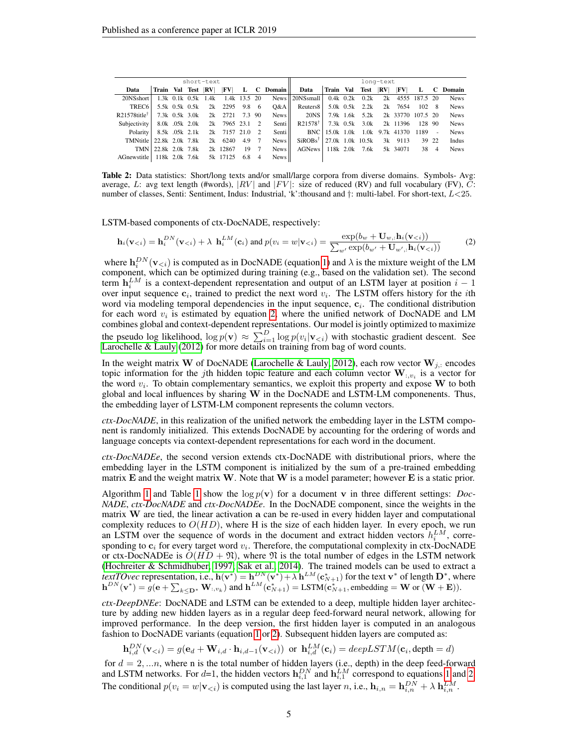<span id="page-4-1"></span>

|                             | short-text          |  |                |                       |                    |       |  |          |                                 |             |                | long-text |                                  |        |      |             |
|-----------------------------|---------------------|--|----------------|-----------------------|--------------------|-------|--|----------|---------------------------------|-------------|----------------|-----------|----------------------------------|--------|------|-------------|
| Data                        | Train Val Test RV   |  |                |                       | $ {\bf F}{\bf V} $ | L     |  | C Domain | Data                            | Train Val   | Test RV        |           | $ {\bf F}{\bf V} $               | L      | C.   | Domain      |
| 20NSshort                   |                     |  |                | $1.3k$ 0.1k 0.5k 1.4k | 1.4k 13.5 20       |       |  |          | News    20NSsmall               | $0.4k$ 0.2k | 0.2k           |           | 2k 4555 187.5 20                 |        |      | <b>News</b> |
| TREC <sub>6</sub>           |                     |  | 5.5k 0.5k 0.5k |                       | 2k 2295            | 9.8 6 |  | O&A      | Reuters <sub>8</sub>            |             | 5.0k 0.5k 2.2k |           | 2k 7654                          | 102 8  |      | <b>News</b> |
| $R21578$ title <sup>T</sup> |                     |  | 7.3k 0.5k 3.0k |                       | 2k 2721 7.3 90     |       |  | News     | 20NS                            |             | 7.9k 1.6k 5.2k |           | 2k 33770 107.5 20                |        |      | <b>News</b> |
| Subjectivity                |                     |  | 8.0k .05k 2.0k |                       | 2k 7965 23.1 2     |       |  | Senti II | R <sub>21578</sub> <sup>†</sup> |             | 7.3k 0.5k 3.0k |           | 2k 11396                         | 128 90 |      | <b>News</b> |
| Polarity                    |                     |  | 8.5k .05k 2.1k |                       | 2k 7157 21.0 2     |       |  | Sentill  |                                 |             |                |           | BNC   15.0k 1.0k 1.0k 9.7k 41370 | 1189   | ×.   | <b>News</b> |
| TMNtitle 22.8k 2.0k 7.8k    |                     |  |                |                       | $2k$ 6240          | 4.9   |  | News II  | $SiROBs†$ 27.0k 1.0k 10.5k      |             |                |           | 3k 9113                          | 39 22  |      | Indus       |
|                             | TMN 22.8k 2.0k 7.8k |  |                |                       | 2k 12867           | 19    |  | News     | AGNews                          | 118k 2.0k   | 7.6k           |           | 5k 34071                         |        | 38 4 | <b>News</b> |
| AGnewstitle                 | 118k 2.0k 7.6k      |  |                |                       | 5k 17125           | 6.8   |  | News     |                                 |             |                |           |                                  |        |      |             |

Table 2: Data statistics: Short/long texts and/or small/large corpora from diverse domains. Symbols- Avg: average, L: avg text length (#words), |RV| and |FV|: size of reduced (RV) and full vocabulary (FV), C: number of classes, Senti: Sentiment, Indus: Industrial, 'k':thousand and †: multi-label. For short-text, L<25.

LSTM-based components of ctx-DocNADE, respectively:

<span id="page-4-0"></span>
$$
\mathbf{h}_{i}(\mathbf{v}_{< i}) = \mathbf{h}_{i}^{DN}(\mathbf{v}_{< i}) + \lambda \ \mathbf{h}_{i}^{LM}(\mathbf{c}_{i}) \text{ and } p(v_{i} = w | \mathbf{v}_{< i}) = \frac{\exp(b_{w} + \mathbf{U}_{w,:} \mathbf{h}_{i}(\mathbf{v}_{< i}))}{\sum_{w'} \exp(b_{w'} + \mathbf{U}_{w',:} \mathbf{h}_{i}(\mathbf{v}_{< i}))}
$$
(2)

where  $\mathbf{h}_i^{DN}(\mathbf{v}_{< i})$  is computed as in DocNADE (equation [1\)](#page-3-0) and  $\lambda$  is the mixture weight of the LM component, which can be optimized during training (e.g., based on the validation set). The second term  $\mathbf{h}_i^{LM}$  is a context-dependent representation and output of an LSTM layer at position  $i-1$ over input sequence  $c_i$ , trained to predict the next word  $v_i$ . The LSTM offers history for the *i*th word via modeling temporal dependencies in the input sequence,  $c_i$ . The conditional distribution for each word  $v_i$  is estimated by equation [2,](#page-4-0) where the unified network of DocNADE and LM combines global and context-dependent representations. Our model is jointly optimized to maximize the pseudo log likelihood,  $\log p(\mathbf{v}) \approx \sum_{i=1}^{D} \log p(v_i | \mathbf{v}_{\le i})$  with stochastic gradient descent. See [Larochelle & Lauly](#page-10-1) [\(2012\)](#page-10-1) for more details on training from bag of word counts.

In the weight matrix W of DocNADE [\(Larochelle & Lauly, 2012\)](#page-10-1), each row vector  $W_{j,:}$  encodes topic information for the jth hidden topic feature and each column vector  $\mathbf{W}_{:,v_i}$  is a vector for the word  $v_i$ . To obtain complementary semantics, we exploit this property and expose  $W$  to both global and local influences by sharing  $W$  in the DocNADE and LSTM-LM componenents. Thus, the embedding layer of LSTM-LM component represents the column vectors.

*ctx-DocNADE*, in this realization of the unified network the embedding layer in the LSTM component is randomly initialized. This extends DocNADE by accounting for the ordering of words and language concepts via context-dependent representations for each word in the document.

*ctx-DocNADEe*, the second version extends ctx-DocNADE with distributional priors, where the embedding layer in the LSTM component is initialized by the sum of a pre-trained embedding matrix  $E$  and the weight matrix W. Note that W is a model parameter; however  $E$  is a static prior.

Algorithm [1](#page-3-2) and Table 1 show the  $\log p(\mathbf{v})$  for a document v in three different settings: *Doc*-*NADE*, *ctx-DocNADE* and *ctx-DocNADEe*. In the DocNADE component, since the weights in the matrix  $W$  are tied, the linear activation a can be re-used in every hidden layer and computational complexity reduces to  $O(HD)$ , where H is the size of each hidden layer. In every epoch, we run an LSTM over the sequence of words in the document and extract hidden vectors  $h_i^{LM}$ , corresponding to  $c_i$  for every target word  $v_i$ . Therefore, the computational complexity in ctx-DocNADE or ctx-DocNADEe is  $O(HD + \mathfrak{N})$ , where  $\mathfrak{N}$  is the total number of edges in the LSTM network [\(Hochreiter & Schmidhuber, 1997;](#page-10-9) [Sak et al., 2014\)](#page-12-6). The trained models can be used to extract a *textTOvec* representation, i.e.,  $h(v^*) = h^{DN}(v^*) + \lambda h^{LM}(c^*_{N+1})$  for the text  $v^*$  of length  $D^*$ , where  $h^{DN}(\mathbf{v}^*) = g(\mathbf{e} + \sum_{k \leq \mathbf{D}^*} \mathbf{W}_{:,v_k})$  and  $h^{LM}(\mathbf{c}_{N+1}^*) = \text{LSTM}(\mathbf{c}_{N+1}^*, \text{embedding} = \mathbf{W} \text{ or } (\mathbf{W} + \mathbf{E})).$ 

*ctx-DeepDNEe*: DocNADE and LSTM can be extended to a deep, multiple hidden layer architecture by adding new hidden layers as in a regular deep feed-forward neural network, allowing for improved performance. In the deep version, the first hidden layer is computed in an analogous fashion to DocNADE variants (equation [1](#page-3-0) or [2\)](#page-4-0). Subsequent hidden layers are computed as:

$$
\mathbf{h}_{i,d}^{DN}(\mathbf{v}_{< i}) = g(\mathbf{e}_d + \mathbf{W}_{i,d} \cdot \mathbf{h}_{i,d-1}(\mathbf{v}_{< i})) \text{ or } \mathbf{h}_{i,d}^{LM}(\mathbf{c}_i) = deepLSTM(\mathbf{c}_i, \text{depth} = d)
$$

for  $d = 2, \ldots n$ , where n is the total number of hidden layers (i.e., depth) in the deep feed-forward and LSTM networks. For  $d=1$ , the hidden vectors  $h_{i,1}^{DN}$  and  $h_{i,1}^{LM}$  correspond to equations [1](#page-3-0) and [2.](#page-4-0) The conditional  $p(v_i = w | \mathbf{v}_{\le i})$  is computed using the last layer n, i.e.,  $\mathbf{h}_{i,n} = \mathbf{h}_{i,n}^{DN} + \lambda \mathbf{h}_{i,n}^{LM}$ .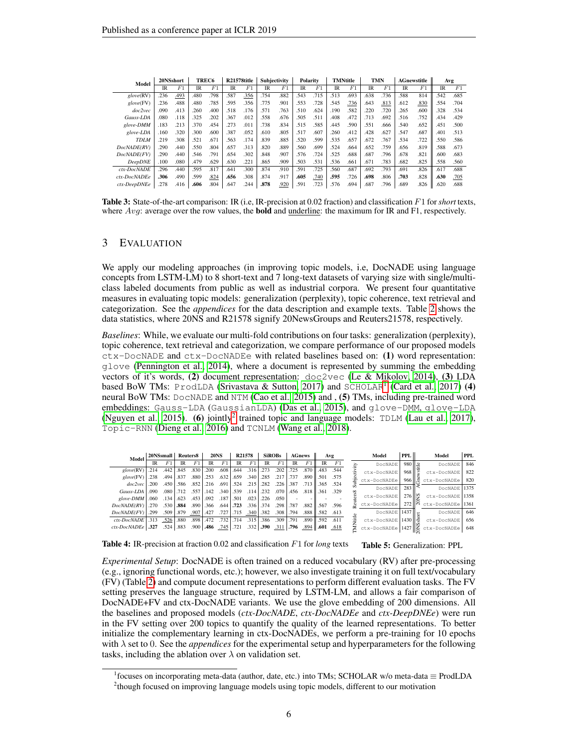<span id="page-5-3"></span>

| Model                   |           | 20NSshort |           | TREC <sub>6</sub> |                | <b>R21578title</b> |           | <b>Subjectivity</b> |           | Polarity |           | <b>TMNtitle</b> |           | <b>TMN</b> |      | <b>AGnewstitle</b> |           | Avg  |
|-------------------------|-----------|-----------|-----------|-------------------|----------------|--------------------|-----------|---------------------|-----------|----------|-----------|-----------------|-----------|------------|------|--------------------|-----------|------|
|                         | <b>IR</b> | F1        | <b>IR</b> | F1                | $_{\text{IR}}$ | F <sub>1</sub>     | <b>IR</b> | F1                  | <b>IR</b> | F1       | <b>IR</b> | F <sub>1</sub>  | <b>IR</b> | F1         | IR   | F1                 | <b>IR</b> | F1   |
| glove(RV)               | .236      | .493      | .480      | .798              | .587           | .356               | .754      | .882                | .543      | .715     | .513      | .693            | .638      | .736       | .588 | 814                | .542      | .685 |
| $\mathfrak{g}$ love(FV) | .236      | .488      | .480      | .785              | .595           | .356               | .775      | .901                | .553      | .728     | .545      | .736            | .643      | .813       | .612 | .830               | .554      | .704 |
| doc2vec                 | .090      | .413      | .260      | .400              | .518           | .176               | .571      | .763                | .510      | .624     | .190      | .582            | .220      | .720       | .265 | .600               | .328      | .534 |
| Gauss-LDA               | .080      | .118      | .325      | .202              | .367           | .012               | .558      | .676                | .505      | .511     | .408      | .472            | .713      | .692       | .516 | .752               | .434      | .429 |
| glove-DMM               | .183      | .213      | .370      | .454              | 273            | .011               | .738      | .834                | .515      | .585     | .445      | .590            | .551      | .666       | .540 | .652               | .451      | .500 |
| glove-LDA               | .160      | .320      | .300      | .600              | .387           | .052               | .610      | .805                | .517      | .607     | .260      | .412            | .428      | .627       | .547 | .687               | .401      | .513 |
| <b>TDLM</b>             | .219      | .308      | .521      | .671              | .563           | .174               | .839      | .885                | .520      | .599     | .535      | .657            | .672      | .767       | .534 | .722               | .550      | .586 |
| DocNADE(RV)             | .290      | .440      | .550      | .804              | .657           | .313               | .820      | .889                | .560      | .699     | .524      | .664            | .652      | .759       | .656 | .819               | .588      | .673 |
| DocNADE(FV)             | .290      | .440      | .546      | .791              | .654           | .302               | .848      | .907                | .576      | .724     | .525      | .688            | .687      | .796       | .678 | .821               | .600      | .683 |
| <b>DeepDNE</b>          | .100      | .080      | .479      | .629              | .630           | .221               | .865      | .909                | .503      | .531     | .536      | .661            | .671      | .783       | .682 | .825               | .558      | .560 |
| ctx-DocNADE             | .296      | .440      | .595      | .817              | .641           | .300               | .874      | .910                | .591      | .725     | .560      | .687            | .692      | .793       | .691 | .826               | .617      | .688 |
| ctx-DocNADEe            | .306      | .490      | .599      | .824              | .656           | .308               | .874      | .917                | .605      | .740     | .595      | .726            | .698      | .806       | .703 | .828               | .630      | .705 |
| ctx-DeepDNEe            | .278      | .416      | .606      | .804              | .647           | .244               | .878      | .920                | .591      | .723     | .576      | .694            | .687      | .796       | .689 | .826               | .620      | .688 |

Table 3: State-of-the-art comparison: IR (i.e, IR-precision at 0.02 fraction) and classification F1 for *short* texts, where  $Avg$ : average over the row values, the **bold** and <u>underline</u>: the maximum for IR and F1, respectively.

## 3 EVALUATION

We apply our modeling approaches (in improving topic models, i.e, DocNADE using language concepts from LSTM-LM) to 8 short-text and 7 long-text datasets of varying size with single/multiclass labeled documents from public as well as industrial corpora. We present four quantitative measures in evaluating topic models: generalization (perplexity), topic coherence, text retrieval and categorization. See the *appendices* for the data description and example texts. Table [2](#page-4-1) shows the data statistics, where 20NS and R21578 signify 20NewsGroups and Reuters21578, respectively.

*Baselines*: While, we evaluate our multi-fold contributions on four tasks: generalization (perplexity), topic coherence, text retrieval and categorization, we compare performance of our proposed models ctx-DocNADE and ctx-DocNADEe with related baselines based on: (1) word representation: glove [\(Pennington et al., 2014\)](#page-11-4), where a document is represented by summing the embedding vectors of it's words, (2) document representation:  $\text{doc2vec}$  [\(Le & Mikolov, 2014\)](#page-11-10), (3) LDA based BoW TMs: ProdLDA [\(Srivastava & Sutton, 2017\)](#page-12-7) and SCHOLAR<sup>[1](#page-5-0)</sup> [\(Card et al., 2017\)](#page-10-10) (4) neural BoW TMs: DocNADE and NTM [\(Cao et al., 2015\)](#page-10-11) and , (5) TMs, including pre-trained word embeddings: Gauss-LDA (GaussianLDA) [\(Das et al., 2015\)](#page-10-4), and glove-DMM, glove-LDA [\(Nguyen et al., 2015\)](#page-11-6). (6) jointly<sup>[2](#page-5-1)</sup> trained topic and language models: TDLM [\(Lau et al., 2017\)](#page-11-2), Topic-RNN [\(Dieng et al., 2016\)](#page-10-3) and TCNLM [\(Wang et al., 2018\)](#page-12-2).

<span id="page-5-4"></span><span id="page-5-2"></span>

| Model                    |           | 20NSsmall Reuters8 |           |                |           | <b>20NS</b>               |                        | R21578         |               | SiROBs         | <b>AGnews</b> |                |                      | Avg  |    | Model        | PPL.                           |    | Model                                            | <b>PPL</b> |
|--------------------------|-----------|--------------------|-----------|----------------|-----------|---------------------------|------------------------|----------------|---------------|----------------|---------------|----------------|----------------------|------|----|--------------|--------------------------------|----|--------------------------------------------------|------------|
|                          | <b>IR</b> | F <sub>1</sub>     | <b>IR</b> | F <sub>1</sub> | <b>IR</b> | F <sub>1</sub>            | <b>IR</b>              | F <sub>1</sub> | <b>IR</b>     | F <sub>1</sub> | <b>IR</b>     | F <sub>1</sub> | <b>IR</b>            | F1   |    | DocNADE      | $980$ $\parallel$ $2$          |    | DocNADE                                          | 846        |
| $\mathit{elove}(\rm RV)$ | .214      | .442               | .845      | .830           | .200      | .608                      | .644                   | .316           | .273          | .202           | .725          |                | .870   .483 .544     |      |    | ctx-DocNADE  | $968$ $\mid \overline{z} \mid$ |    | ctx-DocNADE                                      | 822        |
| $\mathit{elove}$ (FV)    | .238      | .494               | .837      | .880           | .253      | .632                      | .659                   | $.340$ $.285$  |               | .217           | .737          |                | .890   .501          | .575 |    | ctx-DocNADEe | 966                            | Æ. | ctx-DocNADEe                                     | 820        |
| doc2vec                  | .200      | .450               | .586      | .852           | .216      |                           | $.691$ .524            | .215           | .282          | .226           | .387          |                | .713 1.365 .524      |      |    | DocNADE      | 283 II                         |    | DocNADE 1375                                     |            |
| Gauss-LDA                | .090      | .080               | .712      | .557           | .142      | .340 539                  |                        | .114           | .232          | .070           | .456          |                | .818 .361            | .329 |    |              |                                |    |                                                  |            |
| glove-DMM                | .060      | .134               | .623      | .453           | .092      | .187                      | .501                   | .023           | .226          | .050           |               |                |                      |      |    | ctx-DocNADE  | 276∥≌                          |    | ctx-DocNADE 1358                                 |            |
| DocNADE(RV)              | 270       | .530               | .884      | .890           | .366      |                           | .644 .723              | .336 374       |               | .298           | .787          |                | .882   .567          | .596 |    | ctx-DocNADEe |                                |    | $272$ $\overline{\phantom{0}}$ ctx-DocNADEe 1361 |            |
| $DocNADE(FV)$   299      |           | .509               | .879      | .907           | .427      | .727                      | $ .715 \t .340   .382$ |                |               | .308           | .794          |                | $.888$   $.582$ .613 |      |    | DocNADE      | $1437$ $\parallel$ $-$         |    | DocNADE                                          | 646        |
| $ctx$ -DocNADE           | $-313$    | .526               | .880      | .898           | .472      | $.732$ <sup>+</sup>       | .714                   | .315           | .386          | .309           | .791          |                | $.890$ $.592$        | .611 | ÷Е | ctx-DocNADE  | $1430 \parallel \infty$        |    | ctx-DocNADE                                      | 656        |
| $ctx$ -DocNADEe $  .327$ |           | .524               | .883      |                |           | $.900$ . 486 $.745$ . 721 |                        |                | $.332$ $.390$ | $.311$ .796    |               |                | $.894$ .601 .618     |      |    | ctx-DocNADEe | 1427 $\leq$                    |    | ctx-DocNADEe                                     | 648        |

Table 4: IR-precision at fraction 0.02 and classification  $F1$  for *long* texts Table 5: Generalization: PPL

*Experimental Setup*: DocNADE is often trained on a reduced vocabulary (RV) after pre-processing (e.g., ignoring functional words, etc.); however, we also investigate training it on full text/vocabulary (FV) (Table [2\)](#page-4-1) and compute document representations to perform different evaluation tasks. The FV setting preserves the language structure, required by LSTM-LM, and allows a fair comparison of DocNADE+FV and ctx-DocNADE variants. We use the glove embedding of 200 dimensions. All the baselines and proposed models (*ctx-DocNADE*, *ctx-DocNADEe* and *ctx-DeepDNEe*) were run in the FV setting over 200 topics to quantify the quality of the learned representations. To better initialize the complementary learning in ctx-DocNADEs, we perform a pre-training for 10 epochs with  $\lambda$  set to 0. See the *appendices* for the experimental setup and hyperparameters for the following tasks, including the ablation over  $\lambda$  on validation set.

<span id="page-5-1"></span><span id="page-5-0"></span><sup>1</sup> focuses on incorporating meta-data (author, date, etc.) into TMs; SCHOLAR w/o meta-data ≡ ProdLDA <sup>2</sup>though focused on improving language models using topic models, different to our motivation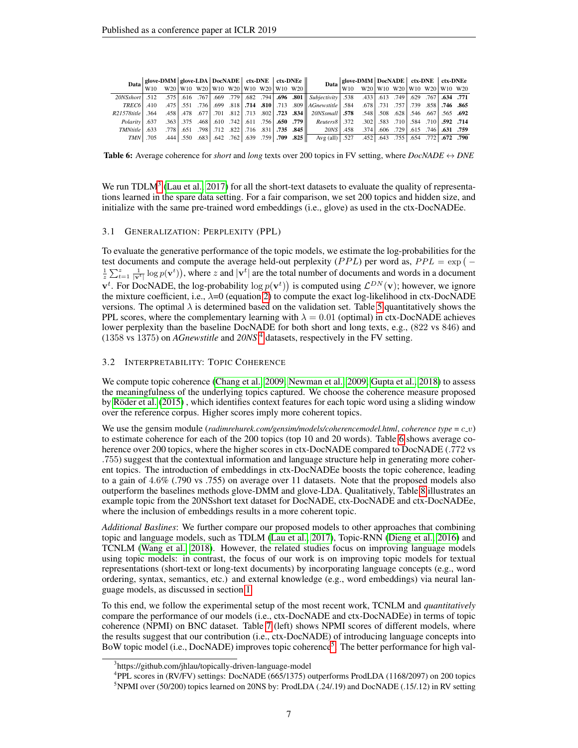<span id="page-6-2"></span>

|                | Data duw-DMM duw-LDA DocNADE $ext{ctx-DNE}$ tx-DNE $ext{ctx-DNE}$ $\begin{bmatrix} 1 & 0 & 0 \\ 0 & 0 & 0 \\ 0 & 0 & 0 \end{bmatrix}$ |  |  |  |  |                                                                                                                                                                                                                                     | Data $\begin{array}{c c c c} \textbf{Date} & \textbf{glove-DMM} & \textbf{DocNADE} & \textbf{ctx-DNE} & \textbf{ctx-DNE} \\ \hline W10 & W20 & W10 & W20 & W10 & W20 & W10 & W20 \end{array}$ |  |  |  |
|----------------|---------------------------------------------------------------------------------------------------------------------------------------|--|--|--|--|-------------------------------------------------------------------------------------------------------------------------------------------------------------------------------------------------------------------------------------|-----------------------------------------------------------------------------------------------------------------------------------------------------------------------------------------------|--|--|--|
|                |                                                                                                                                       |  |  |  |  |                                                                                                                                                                                                                                     |                                                                                                                                                                                               |  |  |  |
|                |                                                                                                                                       |  |  |  |  | 771. 634. [67]. 629. [49]. 613. [682. 538. [58] [682. و2008. [684. [682. 579]. 669. [779. 616. 616. [67]. 512. 512. [69]. [682. 575].                                                                                               |                                                                                                                                                                                               |  |  |  |
|                |                                                                                                                                       |  |  |  |  | <b>365. 746.</b> 759. 759. 759. 751. 751. 678. 584. 678 809 808. 173 810. 174. 818. 699. 699. 551. 755. 410. 179. 180.                                                                                                              |                                                                                                                                                                                               |  |  |  |
|                |                                                                                                                                       |  |  |  |  | 692. 655. [548] 548. [508. 548] 578. [578. [578. [578] [578. [78] [589. [713. [78] [78] [548. [548. [546. [546.] [565. [67] [565. [692] [713. [78] [548.] [548.] [548.] [548.] [548.] [548.] [548.] [548.] [548.] [548.] [548.      |                                                                                                                                                                                               |  |  |  |
|                |                                                                                                                                       |  |  |  |  | <b>714. 592.</b> [10] 581. [10] 583. [10] 583. [10] 583. [10] 597. [10] 597. [10] [10] 584. [10] 584. [10] 583. [10] 583. [10] Foldrity [10] 583. [10] 592. [10] 592. [10] 592. [10] 592. [10] 592. [10] 592. [10] 592. [10] 592. [ |                                                                                                                                                                                               |  |  |  |
| $TMNtitle$ 633 |                                                                                                                                       |  |  |  |  | <b>759. 631.</b> 661. 6729. 606. 729. 606. 729. 716. 778. 716. 729. 716. 672. 712. 712. 712. 651. 651. 651.                                                                                                                         |                                                                                                                                                                                               |  |  |  |
|                |                                                                                                                                       |  |  |  |  | <b>790. 722.</b> (654. 772. 654. 643. 452. 647. 727. Avg (all) Avg (all) 6527. 649. 643. 643. 655. 654. 775. 705. 709                                                                                                               |                                                                                                                                                                                               |  |  |  |

**Table 6:** Average coherence for *short* and *long* texts over 200 topics in FV setting, where *DocNADE*  $\leftrightarrow$  *DNE* 

We run TDL $M<sup>3</sup>$  $M<sup>3</sup>$  $M<sup>3</sup>$  [\(Lau et al., 2017\)](#page-11-2) for all the short-text datasets to evaluate the quality of representations learned in the spare data setting. For a fair comparison, we set 200 topics and hidden size, and initialize with the same pre-trained word embeddings (i.e., glove) as used in the ctx-DocNADEe.

#### 3.1 GENERALIZATION: PERPLEXITY (PPL)

To evaluate the generative performance of the topic models, we estimate the log-probabilities for the test documents and compute the average held-out perplexity (*PPL*) per word as,  $PPL = \exp(-\pi t)$  $\frac{1}{z}\sum_{t=1}^{z}\frac{1}{|\mathbf{v}^{t}|}\log p(\mathbf{v}^{t})$ , where z and  $|\mathbf{v}^{t}|$  are the total number of documents and words in a document  $\mathbf{v}^t$ . For DocNADE, the log-probability  $\log p(\mathbf{v}^t)$  is computed using  $\mathcal{L}^{DN}(\mathbf{v})$ ; however, we ignore the mixture coefficient, i.e.,  $\lambda = 0$  (equation [2\)](#page-4-0) to compute the exact log-likelihood in ctx-DocNADE versions. The optimal  $\lambda$  is determined based on the validation set. Table [5](#page-5-2) quantitatively shows the PPL scores, where the complementary learning with  $\lambda = 0.01$  (optimal) in ctx-DocNADE achieves lower perplexity than the baseline DocNADE for both short and long texts, e.g., (822 vs 846) and (1358 vs 1375) on *AGnewstitle* and *20NS* [4](#page-6-1) datasets, respectively in the FV setting.

## 3.2 INTERPRETABILITY: TOPIC COHERENCE

We compute topic coherence [\(Chang et al., 2009;](#page-10-12) [Newman et al., 2009;](#page-11-11) [Gupta et al., 2018\)](#page-10-7) to assess the meaningfulness of the underlying topics captured. We choose the coherence measure proposed by Röder et al. [\(2015\)](#page-11-12), which identifies context features for each topic word using a sliding window over the reference corpus. Higher scores imply more coherent topics.

We use the gensim module (*radimrehurek.com/gensim/models/coherencemodel.html, coherence type* =  $c_{\perp}v$ ) to estimate coherence for each of the 200 topics (top 10 and 20 words). Table [6](#page-6-2) shows average coherence over 200 topics, where the higher scores in ctx-DocNADE compared to DocNADE (.772 vs .755) suggest that the contextual information and language structure help in generating more coherent topics. The introduction of embeddings in ctx-DocNADEe boosts the topic coherence, leading to a gain of 4.6% (.790 vs .755) on average over 11 datasets. Note that the proposed models also outperform the baselines methods glove-DMM and glove-LDA. Qualitatively, Table [8](#page-9-0) illustrates an example topic from the 20NSshort text dataset for DocNADE, ctx-DocNADE and ctx-DocNADEe, where the inclusion of embeddings results in a more coherent topic.

*Additional Baslines*: We further compare our proposed models to other approaches that combining topic and language models, such as TDLM [\(Lau et al., 2017\)](#page-11-2), Topic-RNN [\(Dieng et al., 2016\)](#page-10-3) and TCNLM [\(Wang et al., 2018\)](#page-12-2). However, the related studies focus on improving language models using topic models: in contrast, the focus of our work is on improving topic models for textual representations (short-text or long-text documents) by incorporating language concepts (e.g., word ordering, syntax, semantics, etc.) and external knowledge (e.g., word embeddings) via neural language models, as discussed in section [1.](#page-0-0)

To this end, we follow the experimental setup of the most recent work, TCNLM and *quantitatively* compare the performance of our models (i.e., ctx-DocNADE and ctx-DocNADEe) in terms of topic coherence (NPMI) on BNC dataset. Table [7](#page-7-0) (left) shows NPMI scores of different models, where the results suggest that our contribution (i.e., ctx-DocNADE) of introducing language concepts into BoW topic model (i.e., DocNADE) improves topic coherence<sup>[5](#page-6-3)</sup>. The better performance for high val-

<span id="page-6-0"></span><sup>&</sup>lt;sup>3</sup>https://github.com/jhlau/topically-driven-language-model

<span id="page-6-3"></span><span id="page-6-1"></span><sup>4</sup> PPL scores in (RV/FV) settings: DocNADE (665/1375) outperforms ProdLDA (1168/2097) on 200 topics <sup>5</sup>NPMI over (50/200) topics learned on 20NS by: ProdLDA (.24/.19) and DocNADE (.15/.12) in RV setting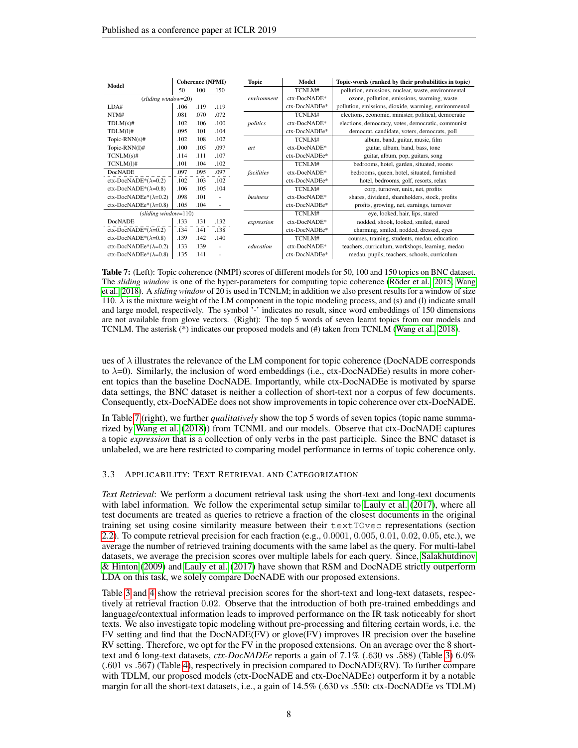<span id="page-7-0"></span>

| Model                         |      | <b>Coherence (NPMI)</b> |      | <b>Topic</b>    | Model         | Topic-words (ranked by their probabilities in topic)  |
|-------------------------------|------|-------------------------|------|-----------------|---------------|-------------------------------------------------------|
|                               | 50   | 100                     | 150  |                 | TCNLM#        | pollution, emissions, nuclear, waste, environmental   |
| $(sliding window=20)$         |      |                         |      | environment     | ctx-DocNADE*  | ozone, pollution, emissions, warming, waste           |
| LDA#                          | .106 | .119                    | .119 |                 | ctx-DocNADEe* | pollution, emissions, dioxide, warming, environmental |
| NTM#                          | .081 | .070                    | .072 |                 | TCNLM#        | elections, economic, minister, political, democratic  |
| $TDLM(s)\#$                   | .102 | .106                    | .100 | politics        | ctx-DocNADE*  | elections, democracy, votes, democratic, communist    |
| $TDLM(1)\#$                   | .095 | .101                    | .104 |                 | ctx-DocNADEe* | democrat, candidate, voters, democrats, poll          |
| Topic-RNN $(s)$ #             | .102 | .108                    | .102 |                 | TCNLM#        | album, band, guitar, music, film                      |
| Topic-RNN $(1)$ #             | .100 | .105                    | .097 | art             | ctx-DocNADE*  | guitar, album, band, bass, tone                       |
| $TCNLM(s)\#$                  | .114 | .111                    | .107 |                 | ctx-DocNADEe* | guitar, album, pop, guitars, song                     |
| $TCNLM(1)$ #                  | .101 | .104                    | .102 |                 | TCNLM#        | bedrooms, hotel, garden, situated, rooms              |
| <b>DocNADE</b>                | .097 | .095                    | .097 | facilities      | ctx-DocNADE*  | bedrooms, queen, hotel, situated, furnished           |
| ctx-DocNADE* $(\lambda=0.2)$  | .102 | .103                    | .102 |                 | ctx-DocNADEe* | hotel, bedrooms, golf, resorts, relax                 |
| ctx-DocNADE*( $\lambda$ =0.8) | .106 | .105                    | .104 |                 | TCNLM#        | corp, turnover, unix, net, profits                    |
| ctx-DocNADEe* $(\lambda=0.2)$ | .098 | .101                    |      | <b>business</b> | ctx-DocNADE*  | shares, dividend, shareholders, stock, profits        |
| ctx-DocNADEe* $(\lambda=0.8)$ | .105 | .104                    | ٠    |                 | ctx-DocNADEe* | profits, growing, net, earnings, turnover             |
| $(sliding window=110)$        |      |                         |      |                 | TCNLM#        | eye, looked, hair, lips, stared                       |
| <b>DocNADE</b>                | .133 | .131                    | .132 | expression      | ctx-DocNADE*  | nodded, shook, looked, smiled, stared                 |
| ctx-DocNADE* $(\lambda=0.2)$  | .134 | .141                    | .138 |                 | ctx-DocNADEe* | charming, smiled, nodded, dressed, eyes               |
| ctx-DocNADE* $(\lambda=0.8)$  | .139 | .142                    | .140 |                 | TCNLM#        | courses, training, students, medau, education         |
| ctx-DocNADEe* $(\lambda=0.2)$ | .133 | .139                    |      | education       | ctx-DocNADE*  | teachers, curriculum, workshops, learning, medau      |
| ctx-DocNADEe* $(\lambda=0.8)$ | .135 | .141                    |      |                 | ctx-DocNADEe* | medau, pupils, teachers, schools, curriculum          |

Table 7: (Left): Topic coherence (NMPI) scores of different models for 50, 100 and 150 topics on BNC dataset. The *sliding window* is one of the hyper-parameters for computing topic coherence (Röder et al., 2015; [Wang](#page-12-2) [et al., 2018\)](#page-12-2). A *sliding window* of 20 is used in TCNLM; in addition we also present results for a window of size 110.  $\lambda$  is the mixture weight of the LM component in the topic modeling process, and (s) and (l) indicate small and large model, respectively. The symbol '-' indicates no result, since word embeddings of 150 dimensions are not available from glove vectors. (Right): The top 5 words of seven learnt topics from our models and TCNLM. The asterisk (\*) indicates our proposed models and (#) taken from TCNLM [\(Wang et al., 2018\)](#page-12-2).

ues of  $\lambda$  illustrates the relevance of the LM component for topic coherence (DocNADE corresponds to  $\lambda=0$ ). Similarly, the inclusion of word embeddings (i.e., ctx-DocNADEe) results in more coherent topics than the baseline DocNADE. Importantly, while ctx-DocNADEe is motivated by sparse data settings, the BNC dataset is neither a collection of short-text nor a corpus of few documents. Consequently, ctx-DocNADEe does not show improvements in topic coherence over ctx-DocNADE.

In Table [7](#page-7-0) (right), we further *qualitatively* show the top 5 words of seven topics (topic name summarized by [Wang et al.](#page-12-2) [\(2018\)](#page-12-2)) from TCNML and our models. Observe that ctx-DocNADE captures a topic *expression* that is a collection of only verbs in the past participle. Since the BNC dataset is unlabeled, we are here restricted to comparing model performance in terms of topic coherence only.

#### <span id="page-7-1"></span>3.3 APPLICABILITY: TEXT RETRIEVAL AND CATEGORIZATION

*Text Retrieval*: We perform a document retrieval task using the short-text and long-text documents with label information. We follow the experimental setup similar to [Lauly et al.](#page-11-0) [\(2017\)](#page-11-0), where all test documents are treated as queries to retrieve a fraction of the closest documents in the original training set using cosine similarity measure between their textTOvec representations (section [2.2\)](#page-3-3). To compute retrieval precision for each fraction (e.g., 0.0001, 0.005, 0.01, 0.02, 0.05, etc.), we average the number of retrieved training documents with the same label as the query. For multi-label datasets, we average the precision scores over multiple labels for each query. Since, [Salakhutdinov](#page-12-0) [& Hinton](#page-12-0) [\(2009\)](#page-12-0) and [Lauly et al.](#page-11-0) [\(2017\)](#page-11-0) have shown that RSM and DocNADE strictly outperform LDA on this task, we solely compare DocNADE with our proposed extensions.

Table [3](#page-5-3) and [4](#page-5-4) show the retrieval precision scores for the short-text and long-text datasets, respectively at retrieval fraction 0.02. Observe that the introduction of both pre-trained embeddings and language/contextual information leads to improved performance on the IR task noticeably for short texts. We also investigate topic modeling without pre-processing and filtering certain words, i.e. the FV setting and find that the DocNADE(FV) or glove(FV) improves IR precision over the baseline RV setting. Therefore, we opt for the FV in the proposed extensions. On an average over the 8 shorttext and 6 long-text datasets, *ctx-DocNADEe* reports a gain of 7.1% (.630 vs .588) (Table [3\)](#page-5-3) 6.0% (.601 vs .567) (Table [4\)](#page-5-4), respectively in precision compared to DocNADE(RV). To further compare with TDLM, our proposed models (ctx-DocNADE and ctx-DocNADEe) outperform it by a notable margin for all the short-text datasets, i.e., a gain of 14.5% (.630 vs .550: ctx-DocNADEe vs TDLM)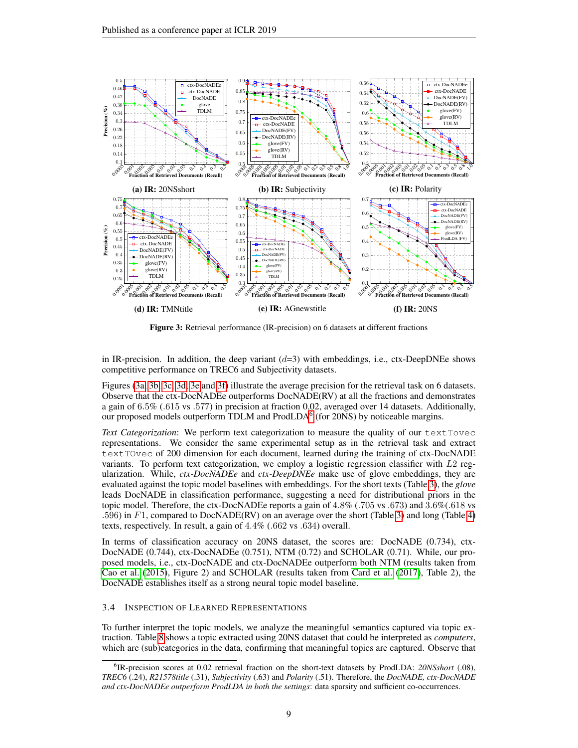<span id="page-8-0"></span>

Figure 3: Retrieval performance (IR-precision) on 6 datasets at different fractions

in IR-precision. In addition, the deep variant  $(d=3)$  with embeddings, i.e., ctx-DeepDNEe shows competitive performance on TREC6 and Subjectivity datasets.

Figures [\(3a, 3b, 3c, 3d, 3e](#page-8-0) and [3f\)](#page-8-0) illustrate the average precision for the retrieval task on 6 datasets. Observe that the ctx-DocNADEe outperforms DocNADE(RV) at all the fractions and demonstrates a gain of 6.5% (.615 vs .577) in precision at fraction 0.02, averaged over 14 datasets. Additionally, our proposed models outperform TDLM and ProdLDA<sup>[6](#page-8-1)</sup> (for 20NS) by noticeable margins.

*Text Categorization*: We perform text categorization to measure the quality of our textTovec representations. We consider the same experimental setup as in the retrieval task and extract textTOvec of 200 dimension for each document, learned during the training of ctx-DocNADE variants. To perform text categorization, we employ a logistic regression classifier with L2 regularization. While, *ctx-DocNADEe* and *ctx-DeepDNEe* make use of glove embeddings, they are evaluated against the topic model baselines with embeddings. For the short texts (Table [3\)](#page-5-3), the *glove* leads DocNADE in classification performance, suggesting a need for distributional priors in the topic model. Therefore, the ctx-DocNADEe reports a gain of 4.8% (.705 vs .673) and 3.6%(.618 vs .596) in F1, compared to DocNADE(RV) on an average over the short (Table [3\)](#page-5-3) and long (Table [4\)](#page-5-4) texts, respectively. In result, a gain of 4.4% (.662 vs .634) overall.

In terms of classification accuracy on 20NS dataset, the scores are: DocNADE (0.734), ctx-DocNADE (0.744), ctx-DocNADEe (0.751), NTM (0.72) and SCHOLAR (0.71). While, our proposed models, i.e., ctx-DocNADE and ctx-DocNADEe outperform both NTM (results taken from [Cao et al.](#page-10-11) [\(2015\)](#page-10-11), Figure 2) and SCHOLAR (results taken from [Card et al.](#page-10-10) [\(2017\)](#page-10-10), Table 2), the DocNADE establishes itself as a strong neural topic model baseline.

## 3.4 INSPECTION OF LEARNED REPRESENTATIONS

To further interpret the topic models, we analyze the meaningful semantics captured via topic extraction. Table [8](#page-9-0) shows a topic extracted using 20NS dataset that could be interpreted as *computers*, which are (sub)categories in the data, confirming that meaningful topics are captured. Observe that

<span id="page-8-1"></span><sup>6</sup> IR-precision scores at 0.02 retrieval fraction on the short-text datasets by ProdLDA: *20NSshort* (.08), *TREC6* (.24), *R21578title* (.31), *Subjectivity* (.63) and *Polarity* (.51). Therefore, the *DocNADE, ctx-DocNADE and ctx-DocNADEe outperform ProdLDA in both the settings*: data sparsity and sufficient co-occurrences.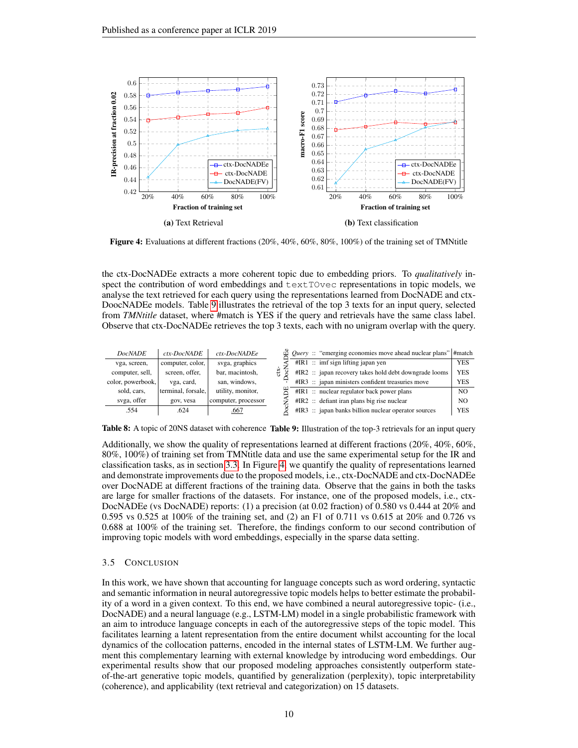<span id="page-9-2"></span>

Figure 4: Evaluations at different fractions (20%, 40%, 60%, 80%, 100%) of the training set of TMNtitle

the ctx-DocNADEe extracts a more coherent topic due to embedding priors. To *qualitatively* inspect the contribution of word embeddings and  $text$  TOvec representations in topic models, we analyse the text retrieved for each query using the representations learned from DocNADE and ctx-DoocNADEe models. Table [9](#page-9-1) illustrates the retrieval of the top 3 texts for an input query, selected from *TMNtitle* dataset, where #match is YES if the query and retrievals have the same class label. Observe that ctx-DocNADEe retrieves the top 3 texts, each with no unigram overlap with the query.

<span id="page-9-1"></span><span id="page-9-0"></span>

| <b>DocNADE</b>    | ctx-DocNADE        | ctx-DocNADEe        | $\Phi$ <i>Query</i> :: "emerging economies move ahead nuclear plans" #match |            |
|-------------------|--------------------|---------------------|-----------------------------------------------------------------------------|------------|
| vga, screen,      | computer, color,   | svga, graphics      | $\#IR1$ :: imf sign lifting japan yen                                       | <b>YES</b> |
| computer, sell,   | screen, offer,     | bar, macintosh,     | #IR2 :: japan recovery takes hold debt downgrade looms                      | <b>YES</b> |
| color, powerbook, | vga, card,         | san, windows,       | #IR3 :: japan ministers confident treasuries move                           | <b>YES</b> |
| sold, cars.       | terminal, forsale, | utility, monitor,   | $\#IR1$ :: nuclear regulator back power plans                               | NO.        |
| svga, offer       | gov, vesa          | computer, processor | $\#IR2$ :: defiant iran plans big rise nuclear                              | NO         |
| .554              | .624               | .667                | #IR3 :: japan banks billion nuclear operator sources                        | <b>YES</b> |

Table 8: A topic of 20NS dataset with coherence Table 9: Illustration of the top-3 retrievals for an input query

Additionally, we show the quality of representations learned at different fractions (20%, 40%, 60%, 80%, 100%) of training set from TMNtitle data and use the same experimental setup for the IR and classification tasks, as in section [3.3.](#page-7-1) In Figure [4,](#page-9-2) we quantify the quality of representations learned and demonstrate improvements due to the proposed models, i.e., ctx-DocNADE and ctx-DocNADEe over DocNADE at different fractions of the training data. Observe that the gains in both the tasks are large for smaller fractions of the datasets. For instance, one of the proposed models, i.e., ctx-DocNADEe (vs DocNADE) reports: (1) a precision (at 0.02 fraction) of 0.580 vs 0.444 at 20% and 0.595 vs 0.525 at 100% of the training set, and (2) an F1 of 0.711 vs 0.615 at 20% and 0.726 vs 0.688 at 100% of the training set. Therefore, the findings conform to our second contribution of improving topic models with word embeddings, especially in the sparse data setting.

#### 3.5 CONCLUSION

In this work, we have shown that accounting for language concepts such as word ordering, syntactic and semantic information in neural autoregressive topic models helps to better estimate the probability of a word in a given context. To this end, we have combined a neural autoregressive topic- (i.e., DocNADE) and a neural language (e.g., LSTM-LM) model in a single probabilistic framework with an aim to introduce language concepts in each of the autoregressive steps of the topic model. This facilitates learning a latent representation from the entire document whilst accounting for the local dynamics of the collocation patterns, encoded in the internal states of LSTM-LM. We further augment this complementary learning with external knowledge by introducing word embeddings. Our experimental results show that our proposed modeling approaches consistently outperform stateof-the-art generative topic models, quantified by generalization (perplexity), topic interpretability (coherence), and applicability (text retrieval and categorization) on 15 datasets.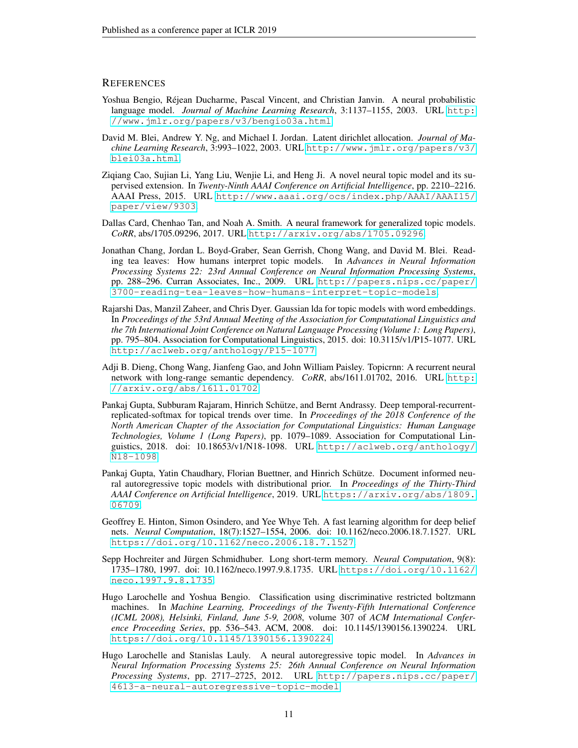## **REFERENCES**

- <span id="page-10-8"></span>Yoshua Bengio, Rejean Ducharme, Pascal Vincent, and Christian Janvin. A neural probabilistic ´ language model. *Journal of Machine Learning Research*, 3:1137–1155, 2003. URL [http:](http://www.jmlr.org/papers/v3/bengio03a.html) [//www.jmlr.org/papers/v3/bengio03a.html](http://www.jmlr.org/papers/v3/bengio03a.html).
- <span id="page-10-0"></span>David M. Blei, Andrew Y. Ng, and Michael I. Jordan. Latent dirichlet allocation. *Journal of Machine Learning Research*, 3:993–1022, 2003. URL [http://www.jmlr.org/papers/v3/](http://www.jmlr.org/papers/v3/blei03a.html) [blei03a.html](http://www.jmlr.org/papers/v3/blei03a.html).
- <span id="page-10-11"></span>Ziqiang Cao, Sujian Li, Yang Liu, Wenjie Li, and Heng Ji. A novel neural topic model and its supervised extension. In *Twenty-Ninth AAAI Conference on Artificial Intelligence*, pp. 2210–2216. AAAI Press, 2015. URL [http://www.aaai.org/ocs/index.php/AAAI/AAAI15/](http://www.aaai.org/ocs/index.php/AAAI/AAAI15/paper/view/9303) [paper/view/9303](http://www.aaai.org/ocs/index.php/AAAI/AAAI15/paper/view/9303).
- <span id="page-10-10"></span>Dallas Card, Chenhao Tan, and Noah A. Smith. A neural framework for generalized topic models. *CoRR*, abs/1705.09296, 2017. URL <http://arxiv.org/abs/1705.09296>.
- <span id="page-10-12"></span>Jonathan Chang, Jordan L. Boyd-Graber, Sean Gerrish, Chong Wang, and David M. Blei. Reading tea leaves: How humans interpret topic models. In *Advances in Neural Information Processing Systems 22: 23rd Annual Conference on Neural Information Processing Systems*, pp. 288–296. Curran Associates, Inc., 2009. URL [http://papers.nips.cc/paper/](http://papers.nips.cc/paper/3700-reading-tea-leaves-how-humans-interpret-topic-models) [3700-reading-tea-leaves-how-humans-interpret-topic-models](http://papers.nips.cc/paper/3700-reading-tea-leaves-how-humans-interpret-topic-models).
- <span id="page-10-4"></span>Rajarshi Das, Manzil Zaheer, and Chris Dyer. Gaussian lda for topic models with word embeddings. In *Proceedings of the 53rd Annual Meeting of the Association for Computational Linguistics and the 7th International Joint Conference on Natural Language Processing (Volume 1: Long Papers)*, pp. 795–804. Association for Computational Linguistics, 2015. doi: 10.3115/v1/P15-1077. URL <http://aclweb.org/anthology/P15-1077>.
- <span id="page-10-3"></span>Adji B. Dieng, Chong Wang, Jianfeng Gao, and John William Paisley. Topicrnn: A recurrent neural network with long-range semantic dependency. *CoRR*, abs/1611.01702, 2016. URL [http:](http://arxiv.org/abs/1611.01702) [//arxiv.org/abs/1611.01702](http://arxiv.org/abs/1611.01702).
- <span id="page-10-7"></span>Pankaj Gupta, Subburam Rajaram, Hinrich Schütze, and Bernt Andrassy. Deep temporal-recurrentreplicated-softmax for topical trends over time. In *Proceedings of the 2018 Conference of the North American Chapter of the Association for Computational Linguistics: Human Language Technologies, Volume 1 (Long Papers)*, pp. 1079–1089. Association for Computational Linguistics, 2018. doi: 10.18653/v1/N18-1098. URL [http://aclweb.org/anthology/](http://aclweb.org/anthology/N18-1098) [N18-1098](http://aclweb.org/anthology/N18-1098).
- <span id="page-10-2"></span>Pankaj Gupta, Yatin Chaudhary, Florian Buettner, and Hinrich Schütze. Document informed neural autoregressive topic models with distributional prior. In *Proceedings of the Thirty-Third AAAI Conference on Artificial Intelligence*, 2019. URL [https://arxiv.org/abs/1809.](https://arxiv.org/abs/1809.06709) [06709](https://arxiv.org/abs/1809.06709).
- <span id="page-10-5"></span>Geoffrey E. Hinton, Simon Osindero, and Yee Whye Teh. A fast learning algorithm for deep belief nets. *Neural Computation*, 18(7):1527–1554, 2006. doi: 10.1162/neco.2006.18.7.1527. URL <https://doi.org/10.1162/neco.2006.18.7.1527>.
- <span id="page-10-9"></span>Sepp Hochreiter and Jürgen Schmidhuber. Long short-term memory. *Neural Computation*, 9(8): 1735–1780, 1997. doi: 10.1162/neco.1997.9.8.1735. URL [https://doi.org/10.1162/](https://doi.org/10.1162/neco.1997.9.8.1735) [neco.1997.9.8.1735](https://doi.org/10.1162/neco.1997.9.8.1735).
- <span id="page-10-6"></span>Hugo Larochelle and Yoshua Bengio. Classification using discriminative restricted boltzmann machines. In *Machine Learning, Proceedings of the Twenty-Fifth International Conference (ICML 2008), Helsinki, Finland, June 5-9, 2008*, volume 307 of *ACM International Conference Proceeding Series*, pp. 536–543. ACM, 2008. doi: 10.1145/1390156.1390224. URL <https://doi.org/10.1145/1390156.1390224>.
- <span id="page-10-1"></span>Hugo Larochelle and Stanislas Lauly. A neural autoregressive topic model. In *Advances in Neural Information Processing Systems 25: 26th Annual Conference on Neural Information Processing Systems*, pp. 2717–2725, 2012. URL [http://papers.nips.cc/paper/](http://papers.nips.cc/paper/4613-a-neural-autoregressive-topic-model) [4613-a-neural-autoregressive-topic-model](http://papers.nips.cc/paper/4613-a-neural-autoregressive-topic-model).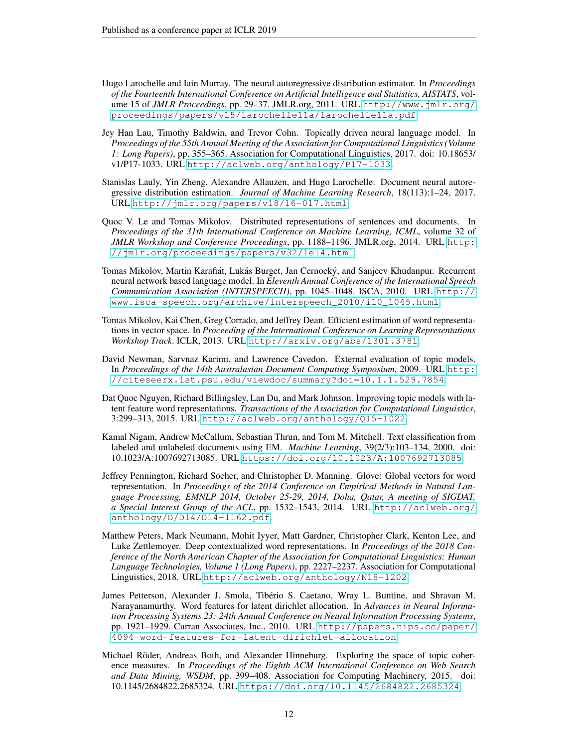- <span id="page-11-8"></span>Hugo Larochelle and Iain Murray. The neural autoregressive distribution estimator. In *Proceedings of the Fourteenth International Conference on Artificial Intelligence and Statistics, AISTATS*, volume 15 of *JMLR Proceedings*, pp. 29–37. JMLR.org, 2011. URL [http://www.jmlr.org/](http://www.jmlr.org/proceedings/papers/v15/larochelle11a/larochelle11a.pdf) [proceedings/papers/v15/larochelle11a/larochelle11a.pdf](http://www.jmlr.org/proceedings/papers/v15/larochelle11a/larochelle11a.pdf).
- <span id="page-11-2"></span>Jey Han Lau, Timothy Baldwin, and Trevor Cohn. Topically driven neural language model. In *Proceedings of the 55th Annual Meeting of the Association for Computational Linguistics (Volume 1: Long Papers)*, pp. 355–365. Association for Computational Linguistics, 2017. doi: 10.18653/ v1/P17-1033. URL <http://aclweb.org/anthology/P17-1033>.
- <span id="page-11-0"></span>Stanislas Lauly, Yin Zheng, Alexandre Allauzen, and Hugo Larochelle. Document neural autoregressive distribution estimation. *Journal of Machine Learning Research*, 18(113):1–24, 2017. URL <http://jmlr.org/papers/v18/16-017.html>.
- <span id="page-11-10"></span>Quoc V. Le and Tomas Mikolov. Distributed representations of sentences and documents. In *Proceedings of the 31th International Conference on Machine Learning, ICML*, volume 32 of *JMLR Workshop and Conference Proceedings*, pp. 1188–1196. JMLR.org, 2014. URL [http:](http://jmlr.org/proceedings/papers/v32/le14.html) [//jmlr.org/proceedings/papers/v32/le14.html](http://jmlr.org/proceedings/papers/v32/le14.html).
- <span id="page-11-3"></span>Tomas Mikolov, Martin Karafiát, Lukás Burget, Jan Cernocký, and Sanjeev Khudanpur. Recurrent neural network based language model. In *Eleventh Annual Conference of the International Speech Communication Association (INTERSPEECH)*, pp. 1045–1048. ISCA, 2010. URL [http://](http://www.isca-speech.org/archive/interspeech_2010/i10_1045.html) [www.isca-speech.org/archive/interspeech\\_2010/i10\\_1045.html](http://www.isca-speech.org/archive/interspeech_2010/i10_1045.html).
- <span id="page-11-9"></span>Tomas Mikolov, Kai Chen, Greg Corrado, and Jeffrey Dean. Efficient estimation of word representations in vector space. In *Proceeding of the International Conference on Learning Representations Workshop Track*. ICLR, 2013. URL <http://arxiv.org/abs/1301.3781>.
- <span id="page-11-11"></span>David Newman, Sarvnaz Karimi, and Lawrence Cavedon. External evaluation of topic models. In *Proceedings of the 14th Australasian Document Computing Symposium*, 2009. URL [http:](http://citeseerx.ist.psu.edu/viewdoc/summary?doi=10.1.1.529.7854) [//citeseerx.ist.psu.edu/viewdoc/summary?doi=10.1.1.529.7854](http://citeseerx.ist.psu.edu/viewdoc/summary?doi=10.1.1.529.7854).
- <span id="page-11-6"></span>Dat Quoc Nguyen, Richard Billingsley, Lan Du, and Mark Johnson. Improving topic models with latent feature word representations. *Transactions of the Association for Computational Linguistics*, 3:299–313, 2015. URL <http://aclweb.org/anthology/Q15-1022>.
- <span id="page-11-7"></span>Kamal Nigam, Andrew McCallum, Sebastian Thrun, and Tom M. Mitchell. Text classification from labeled and unlabeled documents using EM. *Machine Learning*, 39(2/3):103–134, 2000. doi: 10.1023/A:1007692713085. URL <https://doi.org/10.1023/A:1007692713085>.
- <span id="page-11-4"></span>Jeffrey Pennington, Richard Socher, and Christopher D. Manning. Glove: Global vectors for word representation. In *Proceedings of the 2014 Conference on Empirical Methods in Natural Language Processing, EMNLP 2014, October 25-29, 2014, Doha, Qatar, A meeting of SIGDAT, a Special Interest Group of the ACL*, pp. 1532–1543, 2014. URL [http://aclweb.org/](http://aclweb.org/anthology/D/D14/D14-1162.pdf) [anthology/D/D14/D14-1162.pdf](http://aclweb.org/anthology/D/D14/D14-1162.pdf).
- <span id="page-11-1"></span>Matthew Peters, Mark Neumann, Mohit Iyyer, Matt Gardner, Christopher Clark, Kenton Lee, and Luke Zettlemoyer. Deep contextualized word representations. In *Proceedings of the 2018 Conference of the North American Chapter of the Association for Computational Linguistics: Human Language Technologies, Volume 1 (Long Papers)*, pp. 2227–2237. Association for Computational Linguistics, 2018. URL <http://aclweb.org/anthology/N18-1202>.
- <span id="page-11-5"></span>James Petterson, Alexander J. Smola, Tibério S. Caetano, Wray L. Buntine, and Shravan M. Narayanamurthy. Word features for latent dirichlet allocation. In *Advances in Neural Information Processing Systems 23: 24th Annual Conference on Neural Information Processing Systems*, pp. 1921–1929. Curran Associates, Inc., 2010. URL [http://papers.nips.cc/paper/](http://papers.nips.cc/paper/4094-word-features-for-latent-dirichlet-allocation) [4094-word-features-for-latent-dirichlet-allocation](http://papers.nips.cc/paper/4094-word-features-for-latent-dirichlet-allocation).
- <span id="page-11-12"></span>Michael Röder, Andreas Both, and Alexander Hinneburg. Exploring the space of topic coherence measures. In *Proceedings of the Eighth ACM International Conference on Web Search and Data Mining, WSDM*, pp. 399–408. Association for Computing Machinery, 2015. doi: 10.1145/2684822.2685324. URL <https://doi.org/10.1145/2684822.2685324>.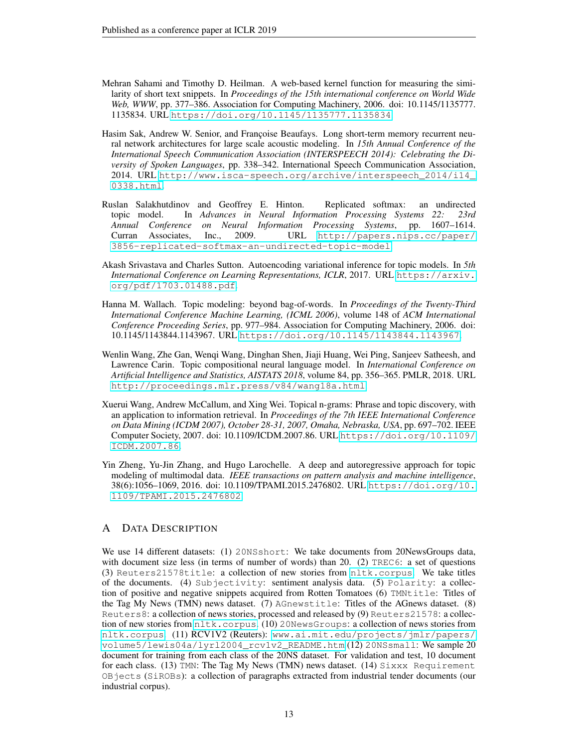- <span id="page-12-5"></span>Mehran Sahami and Timothy D. Heilman. A web-based kernel function for measuring the similarity of short text snippets. In *Proceedings of the 15th international conference on World Wide Web, WWW*, pp. 377–386. Association for Computing Machinery, 2006. doi: 10.1145/1135777. 1135834. URL <https://doi.org/10.1145/1135777.1135834>.
- <span id="page-12-6"></span>Hasim Sak, Andrew W. Senior, and Françoise Beaufays. Long short-term memory recurrent neural network architectures for large scale acoustic modeling. In *15th Annual Conference of the International Speech Communication Association (INTERSPEECH 2014): Celebrating the Diversity of Spoken Languages*, pp. 338–342. International Speech Communication Association, 2014. URL [http://www.isca-speech.org/archive/interspeech\\_2014/i14\\_](http://www.isca-speech.org/archive/interspeech_2014/i14_0338.html) [0338.html](http://www.isca-speech.org/archive/interspeech_2014/i14_0338.html).
- <span id="page-12-0"></span>Ruslan Salakhutdinov and Geoffrey E. Hinton. Replicated softmax: an undirected topic model. In *Advances in Neural Information Processing Systems 22: 23rd Annual Conference on Neural Information Processing Systems*, pp. 1607–1614. Curran Associates, Inc., 2009. URL [http://papers.nips.cc/paper/](http://papers.nips.cc/paper/3856-replicated-softmax-an-undirected-topic-model) [3856-replicated-softmax-an-undirected-topic-model](http://papers.nips.cc/paper/3856-replicated-softmax-an-undirected-topic-model).
- <span id="page-12-7"></span>Akash Srivastava and Charles Sutton. Autoencoding variational inference for topic models. In *5th International Conference on Learning Representations, ICLR*, 2017. URL [https://arxiv.](https://arxiv.org/pdf/1703.01488.pdf) [org/pdf/1703.01488.pdf](https://arxiv.org/pdf/1703.01488.pdf).
- <span id="page-12-3"></span>Hanna M. Wallach. Topic modeling: beyond bag-of-words. In *Proceedings of the Twenty-Third International Conference Machine Learning, (ICML 2006)*, volume 148 of *ACM International Conference Proceeding Series*, pp. 977–984. Association for Computing Machinery, 2006. doi: 10.1145/1143844.1143967. URL <https://doi.org/10.1145/1143844.1143967>.
- <span id="page-12-2"></span>Wenlin Wang, Zhe Gan, Wenqi Wang, Dinghan Shen, Jiaji Huang, Wei Ping, Sanjeev Satheesh, and Lawrence Carin. Topic compositional neural language model. In *International Conference on Artificial Intelligence and Statistics, AISTATS 2018*, volume 84, pp. 356–365. PMLR, 2018. URL <http://proceedings.mlr.press/v84/wang18a.html>.
- <span id="page-12-4"></span>Xuerui Wang, Andrew McCallum, and Xing Wei. Topical n-grams: Phrase and topic discovery, with an application to information retrieval. In *Proceedings of the 7th IEEE International Conference on Data Mining (ICDM 2007), October 28-31, 2007, Omaha, Nebraska, USA*, pp. 697–702. IEEE Computer Society, 2007. doi: 10.1109/ICDM.2007.86. URL [https://doi.org/10.1109/](https://doi.org/10.1109/ICDM.2007.86) [ICDM.2007.86](https://doi.org/10.1109/ICDM.2007.86).
- <span id="page-12-1"></span>Yin Zheng, Yu-Jin Zhang, and Hugo Larochelle. A deep and autoregressive approach for topic modeling of multimodal data. *IEEE transactions on pattern analysis and machine intelligence*, 38(6):1056–1069, 2016. doi: 10.1109/TPAMI.2015.2476802. URL [https://doi.org/10.](https://doi.org/10.1109/TPAMI.2015.2476802) [1109/TPAMI.2015.2476802](https://doi.org/10.1109/TPAMI.2015.2476802).

## A DATA DESCRIPTION

We use 14 different datasets: (1) 20NSshort: We take documents from 20NewsGroups data, with document size less (in terms of number of words) than 20. (2) TREC6: a set of questions (3) Reuters21578title: a collection of new stories from <nltk.corpus>. We take titles of the documents. (4) Subjectivity: sentiment analysis data. (5) Polarity: a collection of positive and negative snippets acquired from Rotten Tomatoes (6) TMNtitle: Titles of the Tag My News (TMN) news dataset. (7) AGnewstitle: Titles of the AGnews dataset. (8) Reuters8: a collection of news stories, processed and released by (9) Reuters21578: a collection of new stories from  $n$ ltk.corpus. (10) 20NewsGroups: a collection of news stories from <nltk.corpus>. (11) RCV1V2 (Reuters): [www.ai.mit.edu/projects/jmlr/papers/](www.ai.mit.edu/projects/jmlr/papers/volume5/lewis04a/lyrl2004_rcv1v2_README.htm) [volume5/lewis04a/lyrl2004\\_rcv1v2\\_README.htm](www.ai.mit.edu/projects/jmlr/papers/volume5/lewis04a/lyrl2004_rcv1v2_README.htm) (12) 20NSsmall: We sample 20 document for training from each class of the 20NS dataset. For validation and test, 10 document for each class. (13) TMN: The Tag My News (TMN) news dataset. (14) Sixxx Requirement OBjects (SiROBs): a collection of paragraphs extracted from industrial tender documents (our industrial corpus).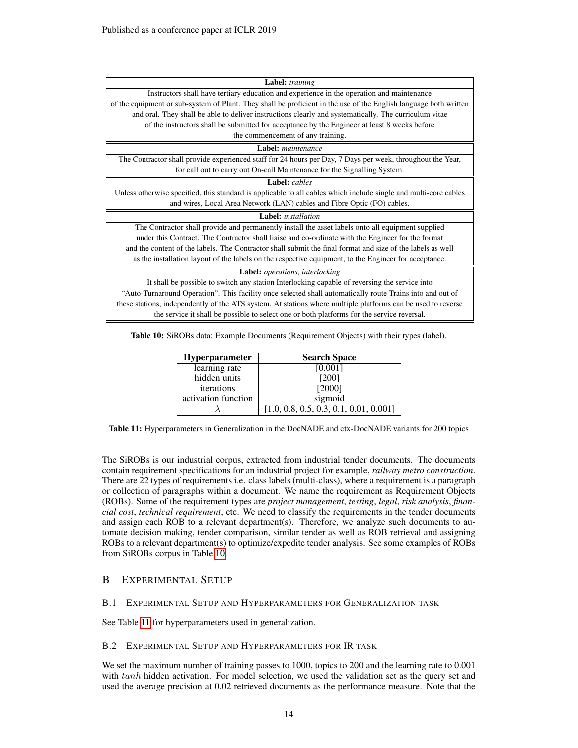<span id="page-13-0"></span>

| Label: training                                                                                                   |
|-------------------------------------------------------------------------------------------------------------------|
| Instructors shall have tertiary education and experience in the operation and maintenance                         |
| of the equipment or sub-system of Plant. They shall be proficient in the use of the English language both written |
| and oral. They shall be able to deliver instructions clearly and systematically. The curriculum vitae             |
| of the instructors shall be submitted for acceptance by the Engineer at least 8 weeks before                      |
| the commencement of any training.                                                                                 |
| Label: maintenance                                                                                                |
| The Contractor shall provide experienced staff for 24 hours per Day, 7 Days per week, throughout the Year,        |
| for call out to carry out On-call Maintenance for the Signalling System.                                          |
| Label: cables                                                                                                     |
| Unless otherwise specified, this standard is applicable to all cables which include single and multi-core cables  |
| and wires, Local Area Network (LAN) cables and Fibre Optic (FO) cables.                                           |
| <b>Label:</b> installation                                                                                        |
| The Contractor shall provide and permanently install the asset labels onto all equipment supplied                 |
| under this Contract. The Contractor shall liaise and co-ordinate with the Engineer for the format                 |
| and the content of the labels. The Contractor shall submit the final format and size of the labels as well        |
| as the installation layout of the labels on the respective equipment, to the Engineer for acceptance.             |
| Label: operations, interlocking                                                                                   |
| It shall be possible to switch any station Interlocking capable of reversing the service into                     |
| "Auto-Turnaround Operation". This facility once selected shall automatically route Trains into and out of         |
| these stations, independently of the ATS system. At stations where multiple platforms can be used to reverse      |
| the service it shall be possible to select one or both platforms for the service reversal.                        |

<span id="page-13-1"></span>Table 10: SiROBs data: Example Documents (Requirement Objects) with their types (label).

| Hyperparameter      | <b>Search Space</b>                      |
|---------------------|------------------------------------------|
| learning rate       | [0.001]                                  |
| hidden units        | [200]                                    |
| iterations          | [2000]                                   |
| activation function | sigmoid                                  |
|                     | $[1.0, 0.8, 0.5, 0.3, 0.1, 0.01, 0.001]$ |

Table 11: Hyperparameters in Generalization in the DocNADE and ctx-DocNADE variants for 200 topics

The SiROBs is our industrial corpus, extracted from industrial tender documents. The documents contain requirement specifications for an industrial project for example, *railway metro construction*. There are 22 types of requirements i.e. class labels (multi-class), where a requirement is a paragraph or collection of paragraphs within a document. We name the requirement as Requirement Objects (ROBs). Some of the requirement types are *project management*, *testing*, *legal*, *risk analysis*, *financial cost*, *technical requirement*, etc. We need to classify the requirements in the tender documents and assign each ROB to a relevant department(s). Therefore, we analyze such documents to automate decision making, tender comparison, similar tender as well as ROB retrieval and assigning ROBs to a relevant department(s) to optimize/expedite tender analysis. See some examples of ROBs from SiROBs corpus in Table [10.](#page-13-0)

## B EXPERIMENTAL SETUP

## B.1 EXPERIMENTAL SETUP AND HYPERPARAMETERS FOR GENERALIZATION TASK

See Table [11](#page-13-1) for hyperparameters used in generalization.

#### B.2 EXPERIMENTAL SETUP AND HYPERPARAMETERS FOR IR TASK

We set the maximum number of training passes to 1000, topics to 200 and the learning rate to 0.001 with tanh hidden activation. For model selection, we used the validation set as the query set and used the average precision at 0.02 retrieved documents as the performance measure. Note that the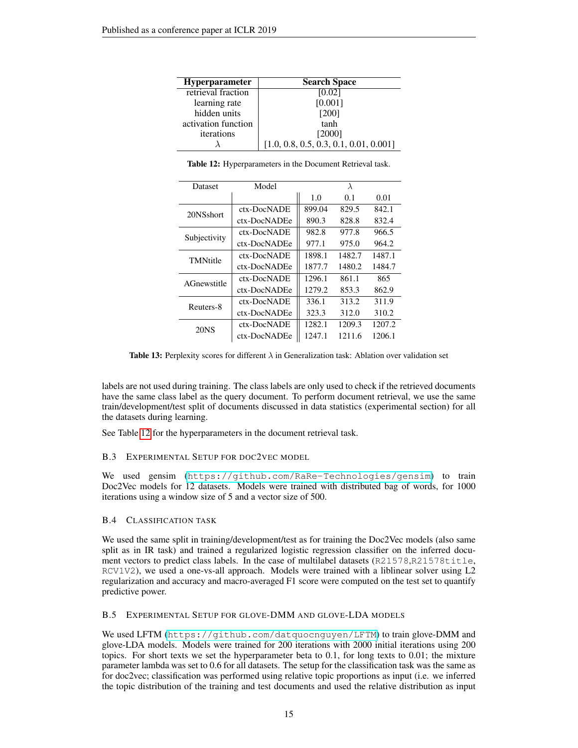<span id="page-14-0"></span>

| <b>Hyperparameter</b> | <b>Search Space</b>                      |
|-----------------------|------------------------------------------|
| retrieval fraction    | [0.02]                                   |
| learning rate         | [0.001]                                  |
| hidden units          | [200]                                    |
| activation function   | tanh                                     |
| iterations            | [2000]                                   |
|                       | $[1.0, 0.8, 0.5, 0.3, 0.1, 0.01, 0.001]$ |

<span id="page-14-1"></span>

| Dataset          | Model        |        | $\lambda$ |        |
|------------------|--------------|--------|-----------|--------|
|                  |              | 1.0    | 0.1       | 0.01   |
| 20NSshort        | ctx-DocNADE  | 899.04 | 829.5     | 842.1  |
|                  | ctx-DocNADEe | 890.3  | 828.8     | 832.4  |
| Subjectivity     | ctx-DocNADE  | 982.8  | 977.8     | 966.5  |
|                  | ctx-DocNADEe | 977.1  | 975.0     | 964.2  |
| TMNtitle         | ctx-DocNADE  | 1898.1 | 1482.7    | 1487.1 |
|                  | ctx-DocNADEe | 1877.7 | 1480.2    | 1484.7 |
| AGnewstitle      | ctx-DocNADE  | 1296.1 | 861.1     | 865    |
|                  | ctx-DocNADEe | 1279.2 | 853.3     | 862.9  |
| Reuters-8        | ctx-DocNADE  | 336.1  | 313.2     | 311.9  |
|                  | ctx-DocNADEe | 323.3  | 312.0     | 310.2  |
| 20 <sub>NS</sub> | ctx-DocNADE  | 1282.1 | 1209.3    | 1207.2 |
|                  | ctx-DocNADEe | 1247.1 | 1211.6    | 1206.1 |

Table 12: Hyperparameters in the Document Retrieval task.

**Table 13:** Perplexity scores for different  $\lambda$  in Generalization task: Ablation over validation set

labels are not used during training. The class labels are only used to check if the retrieved documents have the same class label as the query document. To perform document retrieval, we use the same train/development/test split of documents discussed in data statistics (experimental section) for all the datasets during learning.

See Table [12](#page-14-0) for the hyperparameters in the document retrieval task.

## B.3 EXPERIMENTAL SETUP FOR DOC2VEC MODEL

We used gensim (<https://github.com/RaRe-Technologies/gensim>) to train Doc2Vec models for 12 datasets. Models were trained with distributed bag of words, for 1000 iterations using a window size of 5 and a vector size of 500.

## B.4 CLASSIFICATION TASK

We used the same split in training/development/test as for training the Doc2Vec models (also same split as in IR task) and trained a regularized logistic regression classifier on the inferred document vectors to predict class labels. In the case of multilabel datasets (R21578,R21578title, RCV1V2), we used a one-vs-all approach. Models were trained with a liblinear solver using L2 regularization and accuracy and macro-averaged F1 score were computed on the test set to quantify predictive power.

#### B.5 EXPERIMENTAL SETUP FOR GLOVE-DMM AND GLOVE-LDA MODELS

We used LFTM (<https://github.com/datquocnguyen/LFTM>) to train glove-DMM and glove-LDA models. Models were trained for 200 iterations with 2000 initial iterations using 200 topics. For short texts we set the hyperparameter beta to 0.1, for long texts to 0.01; the mixture parameter lambda was set to 0.6 for all datasets. The setup for the classification task was the same as for doc2vec; classification was performed using relative topic proportions as input (i.e. we inferred the topic distribution of the training and test documents and used the relative distribution as input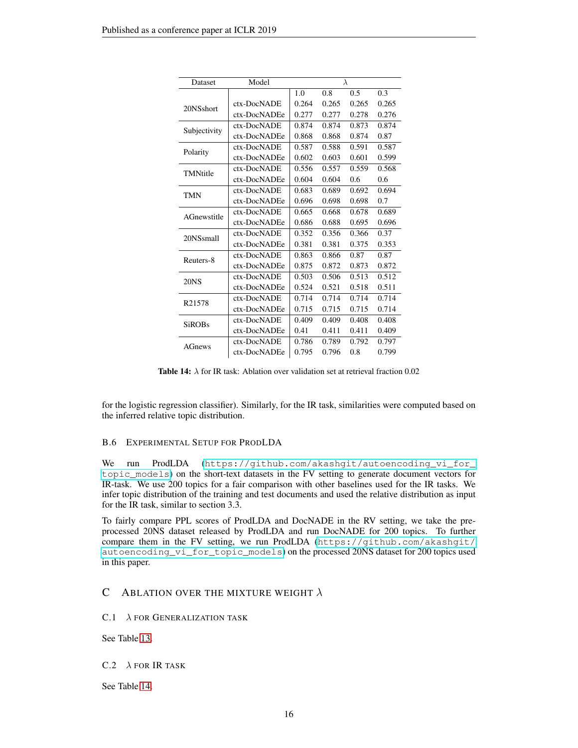<span id="page-15-0"></span>

| Dataset       | Model        |       |       | $\lambda$ |       |
|---------------|--------------|-------|-------|-----------|-------|
|               |              | 1.0   | 0.8   | 0.5       | 0.3   |
| 20NSshort     | ctx-DocNADE  | 0.264 | 0.265 | 0.265     | 0.265 |
|               | ctx-DocNADEe | 0.277 | 0.277 | 0.278     | 0.276 |
|               | ctx-DocNADE  | 0.874 | 0.874 | 0.873     | 0.874 |
| Subjectivity  | ctx-DocNADEe | 0.868 | 0.868 | 0.874     | 0.87  |
| Polarity      | ctx-DocNADE  | 0.587 | 0.588 | 0.591     | 0.587 |
|               | ctx-DocNADEe | 0.602 | 0.603 | 0.601     | 0.599 |
| TMNtitle      | ctx-DocNADE  | 0.556 | 0.557 | 0.559     | 0.568 |
|               | ctx-DocNADEe | 0.604 | 0.604 | 0.6       | 0.6   |
| <b>TMN</b>    | ctx-DocNADE  | 0.683 | 0.689 | 0.692     | 0.694 |
|               | ctx-DocNADEe | 0.696 | 0.698 | 0.698     | 0.7   |
| AGnewstitle   | ctx-DocNADE  | 0.665 | 0.668 | 0.678     | 0.689 |
|               | ctx-DocNADEe | 0.686 | 0.688 | 0.695     | 0.696 |
| 20NSsmall     | ctx-DocNADE  | 0.352 | 0.356 | 0.366     | 0.37  |
|               | ctx-DocNADEe | 0.381 | 0.381 | 0.375     | 0.353 |
| Reuters-8     | ctx-DocNADE  | 0.863 | 0.866 | 0.87      | 0.87  |
|               | ctx-DocNADEe | 0.875 | 0.872 | 0.873     | 0.872 |
| 20NS          | ctx-DocNADE  | 0.503 | 0.506 | 0.513     | 0.512 |
|               | ctx-DocNADEe | 0.524 | 0.521 | 0.518     | 0.511 |
| R21578        | ctx-DocNADE  | 0.714 | 0.714 | 0.714     | 0.714 |
|               | ctx-DocNADEe | 0.715 | 0.715 | 0.715     | 0.714 |
| <b>SiROBs</b> | ctx-DocNADE  | 0.409 | 0.409 | 0.408     | 0.408 |
|               | ctx-DocNADEe | 0.41  | 0.411 | 0.411     | 0.409 |
| <b>AGnews</b> | ctx-DocNADE  | 0.786 | 0.789 | 0.792     | 0.797 |
|               | ctx-DocNADEe | 0.795 | 0.796 | 0.8       | 0.799 |

**Table 14:**  $\lambda$  for IR task: Ablation over validation set at retrieval fraction 0.02

for the logistic regression classifier). Similarly, for the IR task, similarities were computed based on the inferred relative topic distribution.

## B.6 EXPERIMENTAL SETUP FOR PRODLDA

We run ProdLDA ([https://github.com/akashgit/autoencoding\\_vi\\_for\\_](https://github.com/akashgit/autoencoding_vi_for_topic_models) [topic\\_models](https://github.com/akashgit/autoencoding_vi_for_topic_models)) on the short-text datasets in the FV setting to generate document vectors for IR-task. We use 200 topics for a fair comparison with other baselines used for the IR tasks. We infer topic distribution of the training and test documents and used the relative distribution as input for the IR task, similar to section 3.3.

To fairly compare PPL scores of ProdLDA and DocNADE in the RV setting, we take the preprocessed 20NS dataset released by ProdLDA and run DocNADE for 200 topics. To further compare them in the FV setting, we run ProdLDA ([https://github.com/akashgit/](https://github.com/akashgit/autoencoding_vi_for_topic_models) [autoencoding\\_vi\\_for\\_topic\\_models](https://github.com/akashgit/autoencoding_vi_for_topic_models)) on the processed 20NS dataset for 200 topics used in this paper.

## C ABLATION OVER THE MIXTURE WEIGHT  $\lambda$

 $C.1 \quad \lambda$  FOR GENERALIZATION TASK

See Table [13.](#page-14-1)

#### $C.2 \lambda$  FOR IR TASK

See Table [14.](#page-15-0)